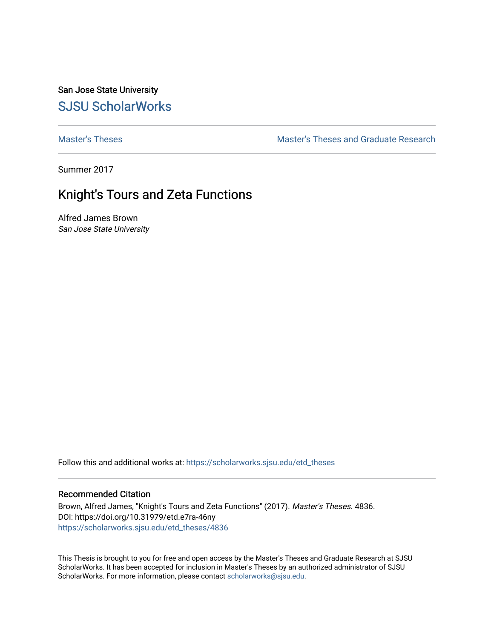San Jose State University [SJSU ScholarWorks](https://scholarworks.sjsu.edu/) 

[Master's Theses](https://scholarworks.sjsu.edu/etd_theses) [Master's Theses and Graduate Research](https://scholarworks.sjsu.edu/etd) 

Summer 2017

# Knight's Tours and Zeta Functions

Alfred James Brown San Jose State University

Follow this and additional works at: [https://scholarworks.sjsu.edu/etd\\_theses](https://scholarworks.sjsu.edu/etd_theses?utm_source=scholarworks.sjsu.edu%2Fetd_theses%2F4836&utm_medium=PDF&utm_campaign=PDFCoverPages)

#### Recommended Citation

Brown, Alfred James, "Knight's Tours and Zeta Functions" (2017). Master's Theses. 4836. DOI: https://doi.org/10.31979/etd.e7ra-46ny [https://scholarworks.sjsu.edu/etd\\_theses/4836](https://scholarworks.sjsu.edu/etd_theses/4836?utm_source=scholarworks.sjsu.edu%2Fetd_theses%2F4836&utm_medium=PDF&utm_campaign=PDFCoverPages)

This Thesis is brought to you for free and open access by the Master's Theses and Graduate Research at SJSU ScholarWorks. It has been accepted for inclusion in Master's Theses by an authorized administrator of SJSU ScholarWorks. For more information, please contact [scholarworks@sjsu.edu](mailto:scholarworks@sjsu.edu).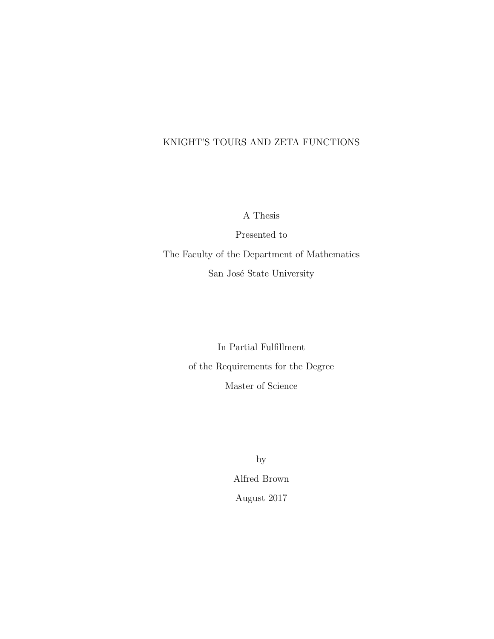### KNIGHT'S TOURS AND ZETA FUNCTIONS

A Thesis

Presented to The Faculty of the Department of Mathematics San José State University

> In Partial Fulfillment of the Requirements for the Degree Master of Science

> > by Alfred Brown August 2017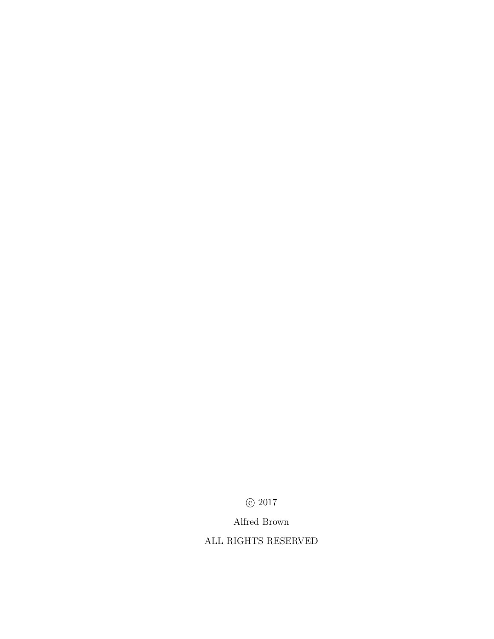$\odot$  2017

Alfred Brown

ALL RIGHTS RESERVED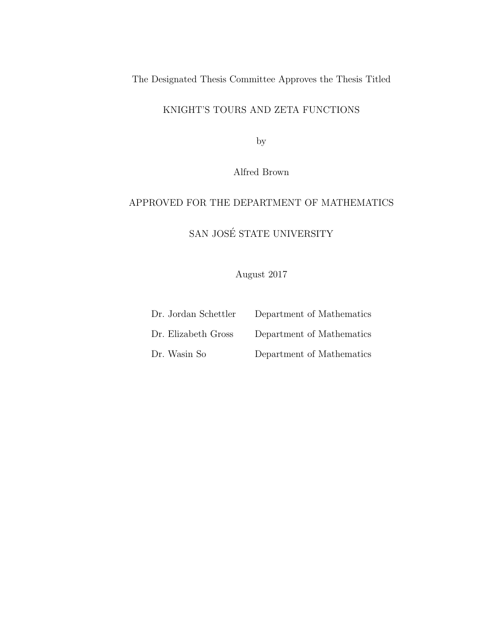The Designated Thesis Committee Approves the Thesis Titled

### KNIGHT'S TOURS AND ZETA FUNCTIONS

by

Alfred Brown

## APPROVED FOR THE DEPARTMENT OF MATHEMATICS

 $\,$  SAN JOSÉ STATE UNIVERSITY

August 2017

| Dr. Jordan Schettler | Department of Mathematics |
|----------------------|---------------------------|
| Dr. Elizabeth Gross  | Department of Mathematics |
| Dr. Wasin So         | Department of Mathematics |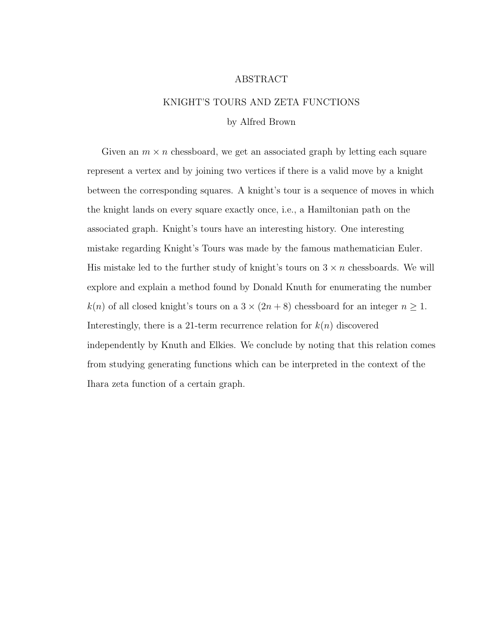#### ABSTRACT

### KNIGHT'S TOURS AND ZETA FUNCTIONS

#### by Alfred Brown

Given an  $m \times n$  chessboard, we get an associated graph by letting each square represent a vertex and by joining two vertices if there is a valid move by a knight between the corresponding squares. A knight's tour is a sequence of moves in which the knight lands on every square exactly once, i.e., a Hamiltonian path on the associated graph. Knight's tours have an interesting history. One interesting mistake regarding Knight's Tours was made by the famous mathematician Euler. His mistake led to the further study of knight's tours on  $3 \times n$  chessboards. We will explore and explain a method found by Donald Knuth for enumerating the number  $k(n)$  of all closed knight's tours on a  $3 \times (2n+8)$  chessboard for an integer  $n \ge 1$ . Interestingly, there is a 21-term recurrence relation for  $k(n)$  discovered independently by Knuth and Elkies. We conclude by noting that this relation comes from studying generating functions which can be interpreted in the context of the Ihara zeta function of a certain graph.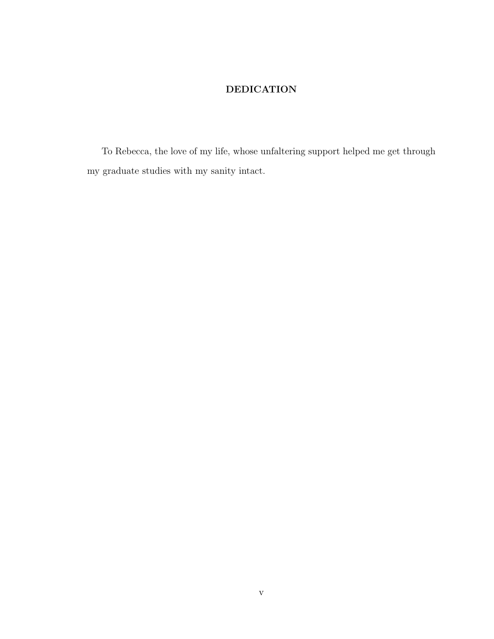### DEDICATION

To Rebecca, the love of my life, whose unfaltering support helped me get through my graduate studies with my sanity intact.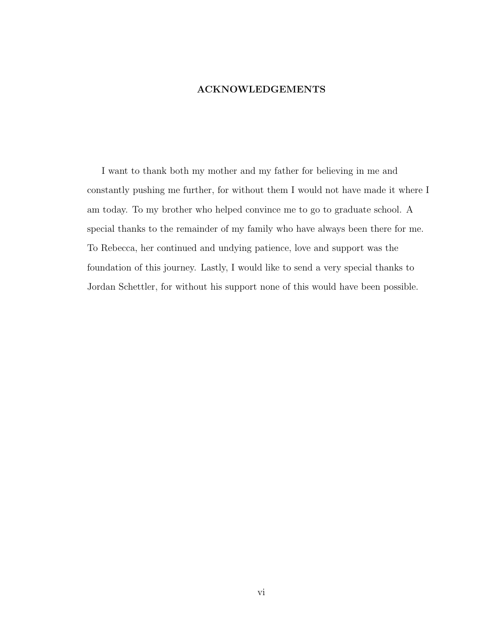### ACKNOWLEDGEMENTS

I want to thank both my mother and my father for believing in me and constantly pushing me further, for without them I would not have made it where I am today. To my brother who helped convince me to go to graduate school. A special thanks to the remainder of my family who have always been there for me. To Rebecca, her continued and undying patience, love and support was the foundation of this journey. Lastly, I would like to send a very special thanks to Jordan Schettler, for without his support none of this would have been possible.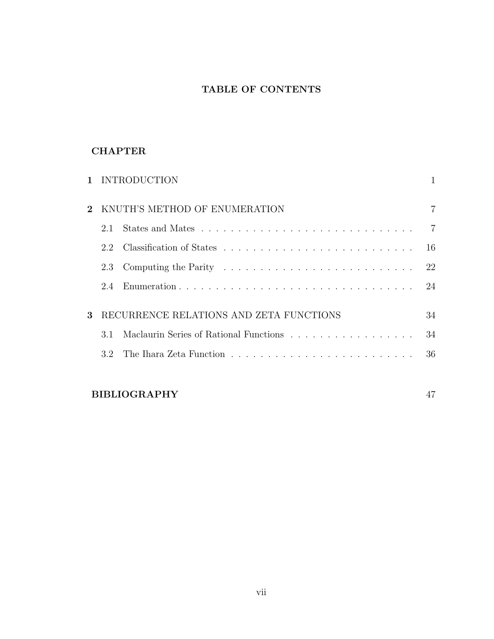### TABLE OF CONTENTS

### **CHAPTER**

|              |                                         | 1 INTRODUCTION                         |                |
|--------------|-----------------------------------------|----------------------------------------|----------------|
|              | KNUTH'S METHOD OF ENUMERATION           |                                        |                |
|              | 2.1                                     |                                        | $\overline{7}$ |
|              | 2.2                                     |                                        | 16             |
|              | 2.3                                     |                                        | 22             |
|              | 2.4                                     |                                        | 24             |
| $\mathbf{R}$ | RECURRENCE RELATIONS AND ZETA FUNCTIONS |                                        | 34             |
|              | 3.1                                     | Maclaurin Series of Rational Functions | 34             |
|              | 32                                      |                                        | 36             |
|              |                                         |                                        |                |

## BIBLIOGRAPHY 47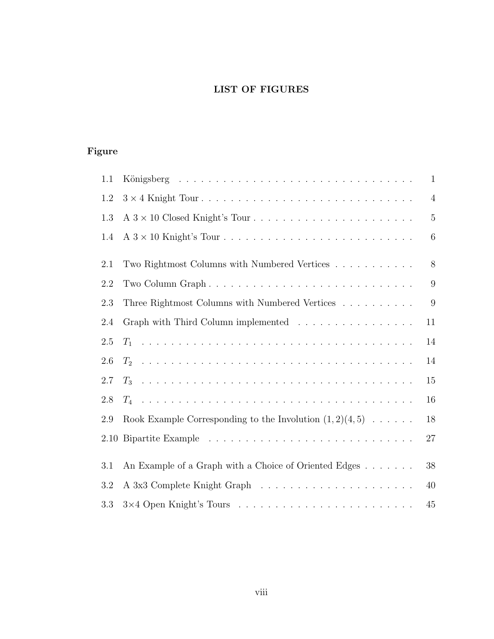## LIST OF FIGURES

## Figure

| 1.1     |                                                                          | $\mathbf{1}$   |
|---------|--------------------------------------------------------------------------|----------------|
| 1.2     |                                                                          | $\overline{4}$ |
| 1.3     |                                                                          | $\overline{5}$ |
| 1.4     |                                                                          | 6              |
| 2.1     | Two Rightmost Columns with Numbered Vertices                             | 8              |
| 2.2     |                                                                          | 9              |
| 2.3     | Three Rightmost Columns with Numbered Vertices                           | 9              |
| 2.4     | Graph with Third Column implemented $\ldots \ldots \ldots \ldots \ldots$ | 11             |
| 2.5     |                                                                          | 14             |
| 2.6     |                                                                          | 14             |
| $2.7\,$ |                                                                          | 15             |
| 2.8     |                                                                          | 16             |
| 2.9     | Rook Example Corresponding to the Involution $(1,2)(4,5) \ldots$ .       | 18             |
| 2.10    |                                                                          | 27             |
| 3.1     | An Example of a Graph with a Choice of Oriented Edges                    | 38             |
| 3.2     |                                                                          | 40             |
| 3.3     |                                                                          | 45             |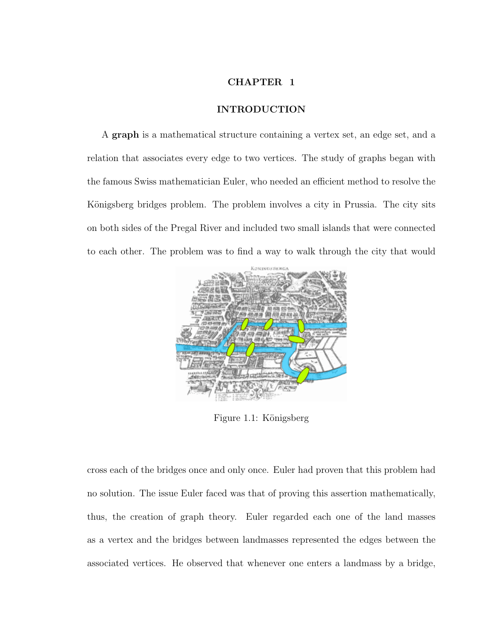#### CHAPTER 1

#### INTRODUCTION

A graph is a mathematical structure containing a vertex set, an edge set, and a relation that associates every edge to two vertices. The study of graphs began with the famous Swiss mathematician Euler, who needed an efficient method to resolve the Königsberg bridges problem. The problem involves a city in Prussia. The city sits on both sides of the Pregal River and included two small islands that were connected to each other. The problem was to find a way to walk through the city that would



Figure 1.1: Königsberg

cross each of the bridges once and only once. Euler had proven that this problem had no solution. The issue Euler faced was that of proving this assertion mathematically, thus, the creation of graph theory. Euler regarded each one of the land masses as a vertex and the bridges between landmasses represented the edges between the associated vertices. He observed that whenever one enters a landmass by a bridge,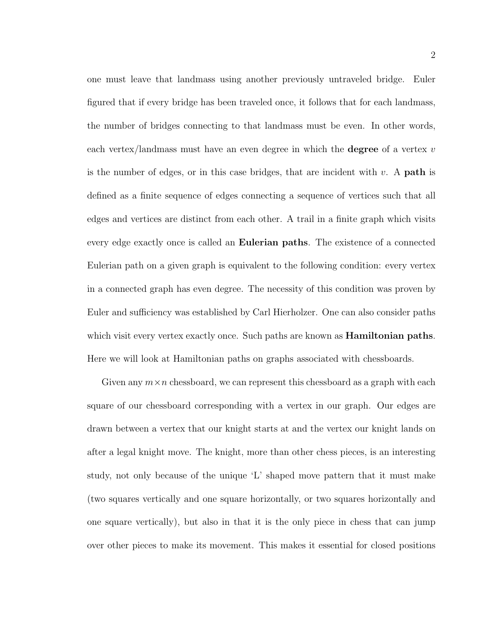one must leave that landmass using another previously untraveled bridge. Euler figured that if every bridge has been traveled once, it follows that for each landmass, the number of bridges connecting to that landmass must be even. In other words, each vertex/landmass must have an even degree in which the **degree** of a vertex  $v$ is the number of edges, or in this case bridges, that are incident with  $v$ . A **path** is defined as a finite sequence of edges connecting a sequence of vertices such that all edges and vertices are distinct from each other. A trail in a finite graph which visits every edge exactly once is called an Eulerian paths. The existence of a connected Eulerian path on a given graph is equivalent to the following condition: every vertex in a connected graph has even degree. The necessity of this condition was proven by Euler and sufficiency was established by Carl Hierholzer. One can also consider paths which visit every vertex exactly once. Such paths are known as **Hamiltonian paths**. Here we will look at Hamiltonian paths on graphs associated with chessboards.

Given any  $m \times n$  chessboard, we can represent this chessboard as a graph with each square of our chessboard corresponding with a vertex in our graph. Our edges are drawn between a vertex that our knight starts at and the vertex our knight lands on after a legal knight move. The knight, more than other chess pieces, is an interesting study, not only because of the unique 'L' shaped move pattern that it must make (two squares vertically and one square horizontally, or two squares horizontally and one square vertically), but also in that it is the only piece in chess that can jump over other pieces to make its movement. This makes it essential for closed positions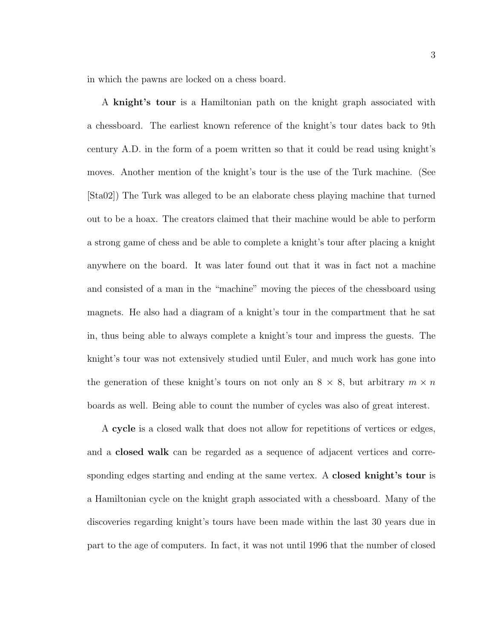in which the pawns are locked on a chess board.

A knight's tour is a Hamiltonian path on the knight graph associated with a chessboard. The earliest known reference of the knight's tour dates back to 9th century A.D. in the form of a poem written so that it could be read using knight's moves. Another mention of the knight's tour is the use of the Turk machine. (See [Sta02]) The Turk was alleged to be an elaborate chess playing machine that turned out to be a hoax. The creators claimed that their machine would be able to perform a strong game of chess and be able to complete a knight's tour after placing a knight anywhere on the board. It was later found out that it was in fact not a machine and consisted of a man in the "machine" moving the pieces of the chessboard using magnets. He also had a diagram of a knight's tour in the compartment that he sat in, thus being able to always complete a knight's tour and impress the guests. The knight's tour was not extensively studied until Euler, and much work has gone into the generation of these knight's tours on not only an  $8 \times 8$ , but arbitrary  $m \times n$ boards as well. Being able to count the number of cycles was also of great interest.

A cycle is a closed walk that does not allow for repetitions of vertices or edges, and a closed walk can be regarded as a sequence of adjacent vertices and corresponding edges starting and ending at the same vertex. A **closed knight's tour** is a Hamiltonian cycle on the knight graph associated with a chessboard. Many of the discoveries regarding knight's tours have been made within the last 30 years due in part to the age of computers. In fact, it was not until 1996 that the number of closed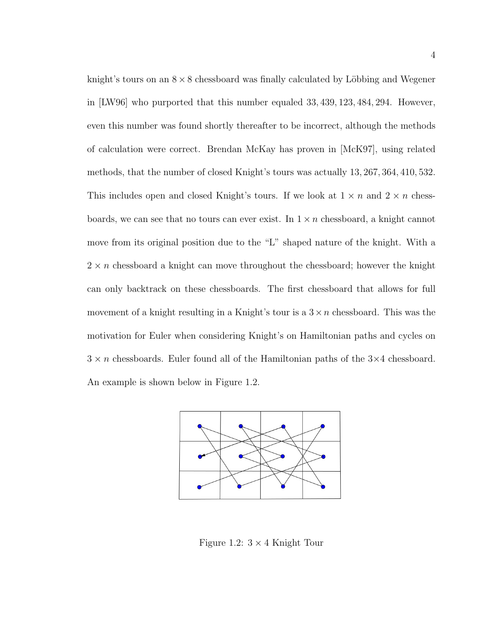knight's tours on an  $8 \times 8$  chessboard was finally calculated by Löbbing and Wegener in [LW96] who purported that this number equaled 33, 439, 123, 484, 294. However, even this number was found shortly thereafter to be incorrect, although the methods of calculation were correct. Brendan McKay has proven in [McK97], using related methods, that the number of closed Knight's tours was actually 13, 267, 364, 410, 532. This includes open and closed Knight's tours. If we look at  $1 \times n$  and  $2 \times n$  chessboards, we can see that no tours can ever exist. In  $1 \times n$  chessboard, a knight cannot move from its original position due to the "L" shaped nature of the knight. With a  $2 \times n$  chessboard a knight can move throughout the chessboard; however the knight can only backtrack on these chessboards. The first chessboard that allows for full movement of a knight resulting in a Knight's tour is a  $3 \times n$  chessboard. This was the motivation for Euler when considering Knight's on Hamiltonian paths and cycles on  $3 \times n$  chessboards. Euler found all of the Hamiltonian paths of the  $3 \times 4$  chessboard. An example is shown below in Figure 1.2.



Figure 1.2:  $3 \times 4$  Knight Tour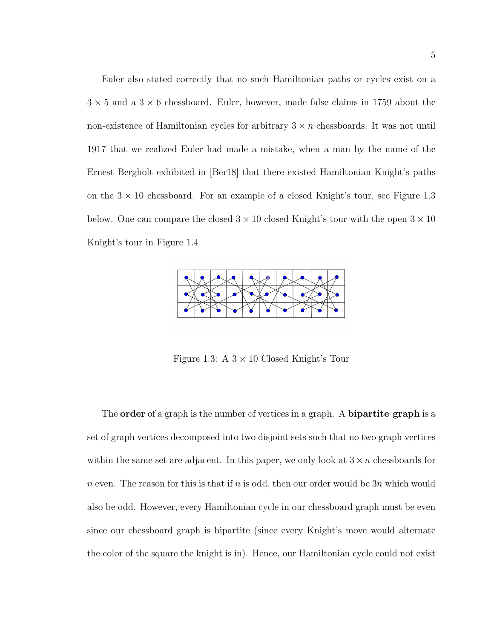Euler also stated correctly that no such Hamiltonian paths or cycles exist on a  $3 \times 5$  and a  $3 \times 6$  chessboard. Euler, however, made false claims in 1759 about the non-existence of Hamiltonian cycles for arbitrary  $3 \times n$  chessboards. It was not until 1917 that we realized Euler had made a mistake, when a man by the name of the Ernest Bergholt exhibited in [Ber18] that there existed Hamiltonian Knight's paths on the  $3 \times 10$  chessboard. For an example of a closed Knight's tour, see Figure 1.3 below. One can compare the closed  $3 \times 10$  closed Knight's tour with the open  $3 \times 10$ Knight's tour in Figure 1.4



Figure 1.3: A  $3 \times 10$  Closed Knight's Tour

The **order** of a graph is the number of vertices in a graph. A **bipartite graph** is a set of graph vertices decomposed into two disjoint sets such that no two graph vertices within the same set are adjacent. In this paper, we only look at  $3 \times n$  chessboards for n even. The reason for this is that if n is odd, then our order would be  $3n$  which would also be odd. However, every Hamiltonian cycle in our chessboard graph must be even since our chessboard graph is bipartite (since every Knight's move would alternate the color of the square the knight is in). Hence, our Hamiltonian cycle could not exist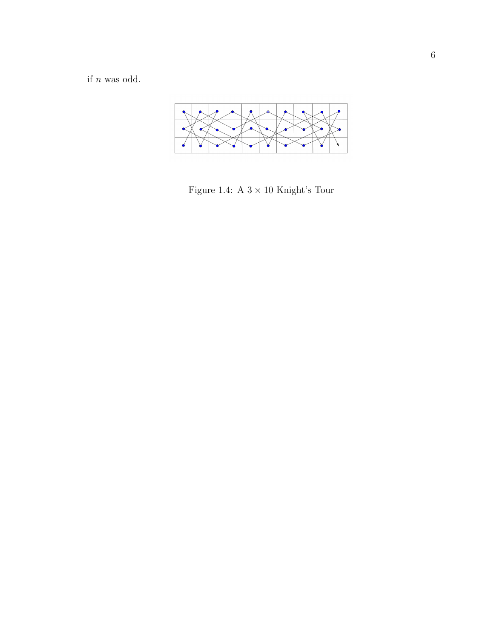if  $n$  was odd.



Figure 1.4: A  $3\times10$  Knight's Tour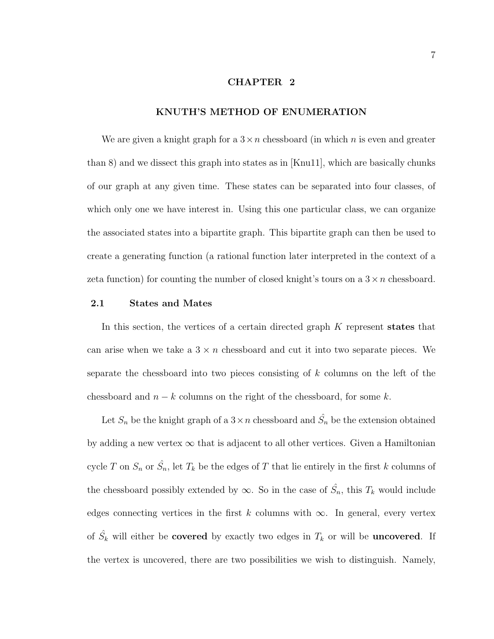#### CHAPTER 2

#### KNUTH'S METHOD OF ENUMERATION

We are given a knight graph for a  $3 \times n$  chessboard (in which n is even and greater than 8) and we dissect this graph into states as in [Knu11], which are basically chunks of our graph at any given time. These states can be separated into four classes, of which only one we have interest in. Using this one particular class, we can organize the associated states into a bipartite graph. This bipartite graph can then be used to create a generating function (a rational function later interpreted in the context of a zeta function) for counting the number of closed knight's tours on a  $3 \times n$  chessboard.

#### 2.1 States and Mates

In this section, the vertices of a certain directed graph  $K$  represent states that can arise when we take a  $3 \times n$  chessboard and cut it into two separate pieces. We separate the chessboard into two pieces consisting of k columns on the left of the chessboard and  $n - k$  columns on the right of the chessboard, for some k.

Let  $S_n$  be the knight graph of a  $3 \times n$  chessboard and  $\hat{S}_n$  be the extension obtained by adding a new vertex  $\infty$  that is adjacent to all other vertices. Given a Hamiltonian cycle T on  $S_n$  or  $\hat{S}_n$ , let  $T_k$  be the edges of T that lie entirely in the first k columns of the chessboard possibly extended by  $\infty$ . So in the case of  $\hat{S}_n$ , this  $T_k$  would include edges connecting vertices in the first k columns with  $\infty$ . In general, every vertex of  $\hat{S}_k$  will either be **covered** by exactly two edges in  $T_k$  or will be **uncovered**. If the vertex is uncovered, there are two possibilities we wish to distinguish. Namely,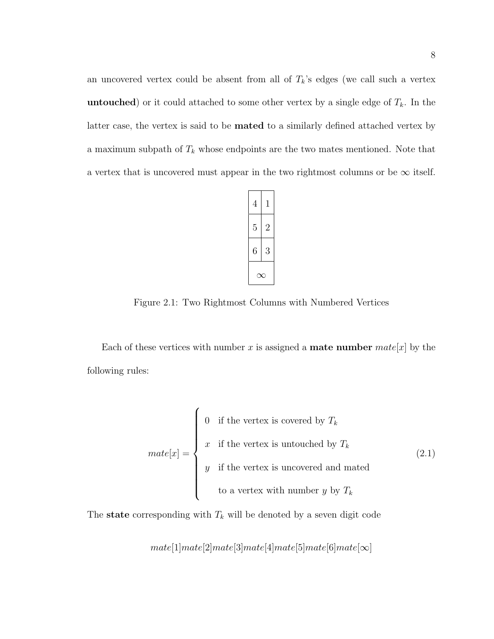an uncovered vertex could be absent from all of  $T_k$ 's edges (we call such a vertex **untouched**) or it could attached to some other vertex by a single edge of  $T_k$ . In the latter case, the vertex is said to be mated to a similarly defined attached vertex by a maximum subpath of  $T_k$  whose endpoints are the two mates mentioned. Note that a vertex that is uncovered must appear in the two rightmost columns or be  $\infty$  itself.



Figure 2.1: Two Rightmost Columns with Numbered Vertices

Each of these vertices with number x is assigned a **mate number** mate  $[x]$  by the following rules:

$$
mate[x] = \begin{cases} 0 & \text{if the vertex is covered by } T_k \\ x & \text{if the vertex is untouched by } T_k \\ y & \text{if the vertex is uncovered and mated} \\ t_0 & \text{at vertex with number } y \text{ by } T_k \end{cases} \tag{2.1}
$$

The state corresponding with  $T_k$  will be denoted by a seven digit code

 $mate[1]mate[2]mate[3]mate[4]mate[5]mate[6]mate[∞]$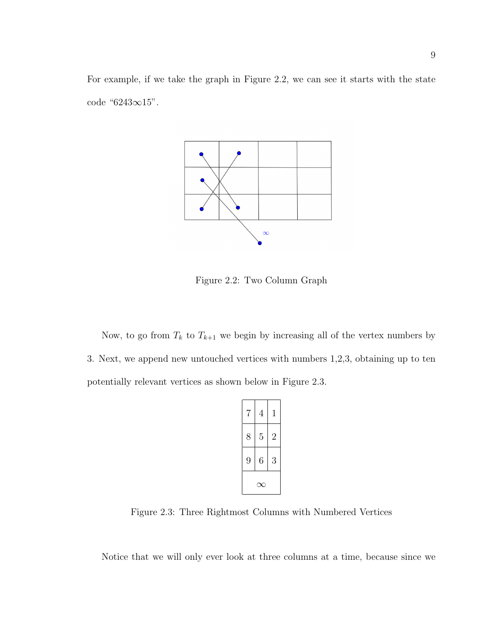For example, if we take the graph in Figure 2.2, we can see it starts with the state code "6243∞15".



Figure 2.2: Two Column Graph

Now, to go from  $T_k$  to  $T_{k+1}$  we begin by increasing all of the vertex numbers by 3. Next, we append new untouched vertices with numbers 1,2,3, obtaining up to ten potentially relevant vertices as shown below in Figure 2.3.

| 7 | $\overline{4}$ | 1              |
|---|----------------|----------------|
| 8 | 5              | $\overline{2}$ |
| 9 | 6              | 3              |
|   |                |                |

Figure 2.3: Three Rightmost Columns with Numbered Vertices

Notice that we will only ever look at three columns at a time, because since we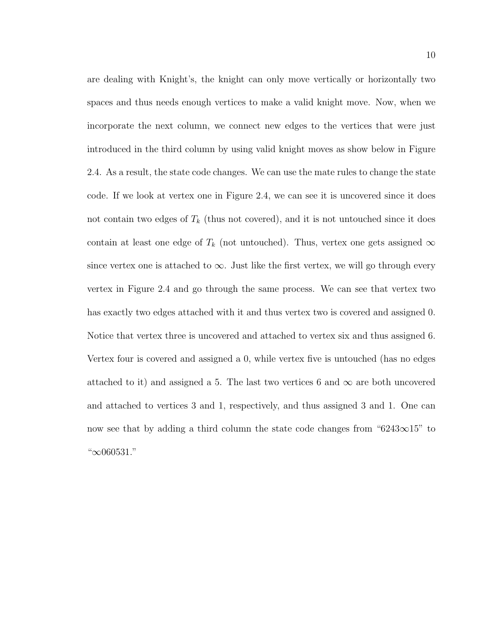are dealing with Knight's, the knight can only move vertically or horizontally two spaces and thus needs enough vertices to make a valid knight move. Now, when we incorporate the next column, we connect new edges to the vertices that were just introduced in the third column by using valid knight moves as show below in Figure 2.4. As a result, the state code changes. We can use the mate rules to change the state code. If we look at vertex one in Figure 2.4, we can see it is uncovered since it does not contain two edges of  $T_k$  (thus not covered), and it is not untouched since it does contain at least one edge of  $T_k$  (not untouched). Thus, vertex one gets assigned  $\infty$ since vertex one is attached to  $\infty$ . Just like the first vertex, we will go through every vertex in Figure 2.4 and go through the same process. We can see that vertex two has exactly two edges attached with it and thus vertex two is covered and assigned 0. Notice that vertex three is uncovered and attached to vertex six and thus assigned 6. Vertex four is covered and assigned a 0, while vertex five is untouched (has no edges attached to it) and assigned a 5. The last two vertices 6 and  $\infty$  are both uncovered and attached to vertices 3 and 1, respectively, and thus assigned 3 and 1. One can now see that by adding a third column the state code changes from "6243∞15" to "∞060531."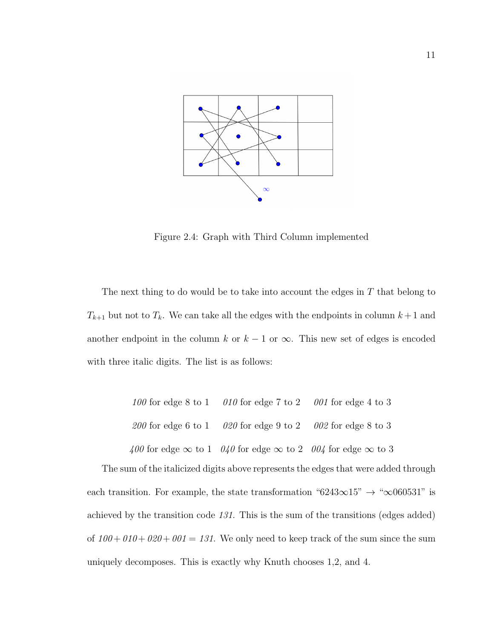

Figure 2.4: Graph with Third Column implemented

The next thing to do would be to take into account the edges in  $T$  that belong to  $T_{k+1}$  but not to  $T_k$ . We can take all the edges with the endpoints in column  $k+1$  and another endpoint in the column k or  $k - 1$  or  $\infty$ . This new set of edges is encoded with three italic digits. The list is as follows:

| 100 for edge 8 to 1 010 for edge 7 to 2 001 for edge 4 to 3                      |  |
|----------------------------------------------------------------------------------|--|
| 200 for edge 6 to 1 020 for edge 9 to 2 002 for edge 8 to 3                      |  |
| 400 for edge $\infty$ to 1 040 for edge $\infty$ to 2 004 for edge $\infty$ to 3 |  |

The sum of the italicized digits above represents the edges that were added through each transition. For example, the state transformation "6243∞15"  $\rightarrow$  "∞060531" is achieved by the transition code 131. This is the sum of the transitions (edges added) of  $100+010+020+001 = 131$ . We only need to keep track of the sum since the sum uniquely decomposes. This is exactly why Knuth chooses 1,2, and 4.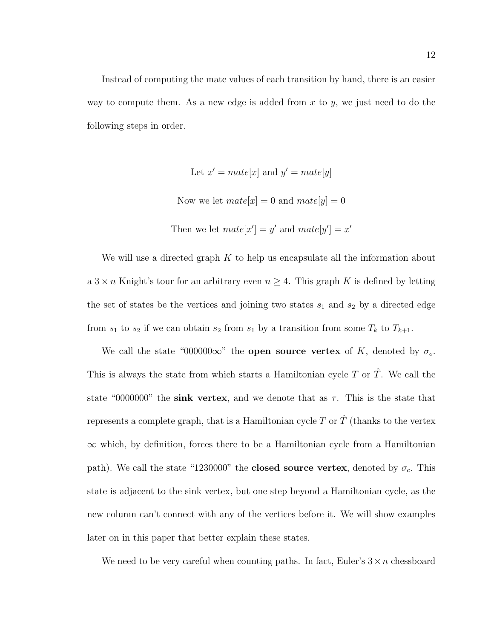Instead of computing the mate values of each transition by hand, there is an easier way to compute them. As a new edge is added from x to y, we just need to do the following steps in order.

Let 
$$
x' = mate[x]
$$
 and  $y' = mate[y]$   
Now we let  $mate[x] = 0$  and  $mate[y] = 0$   
Then we let  $mate[x'] = y'$  and  $mate[y'] = x'$ 

We will use a directed graph  $K$  to help us encapsulate all the information about a  $3 \times n$  Knight's tour for an arbitrary even  $n \geq 4$ . This graph K is defined by letting the set of states be the vertices and joining two states  $s_1$  and  $s_2$  by a directed edge from  $s_1$  to  $s_2$  if we can obtain  $s_2$  from  $s_1$  by a transition from some  $T_k$  to  $T_{k+1}$ .

We call the state "000000 $\infty$ " the **open source vertex** of K, denoted by  $\sigma_o$ . This is always the state from which starts a Hamiltonian cycle T or  $\hat{T}$ . We call the state "0000000" the sink vertex, and we denote that as  $\tau$ . This is the state that represents a complete graph, that is a Hamiltonian cycle  $T$  or  $\hat{T}$  (thanks to the vertex  $\infty$  which, by definition, forces there to be a Hamiltonian cycle from a Hamiltonian path). We call the state "1230000" the **closed source vertex**, denoted by  $\sigma_c$ . This state is adjacent to the sink vertex, but one step beyond a Hamiltonian cycle, as the new column can't connect with any of the vertices before it. We will show examples later on in this paper that better explain these states.

We need to be very careful when counting paths. In fact, Euler's  $3 \times n$  chessboard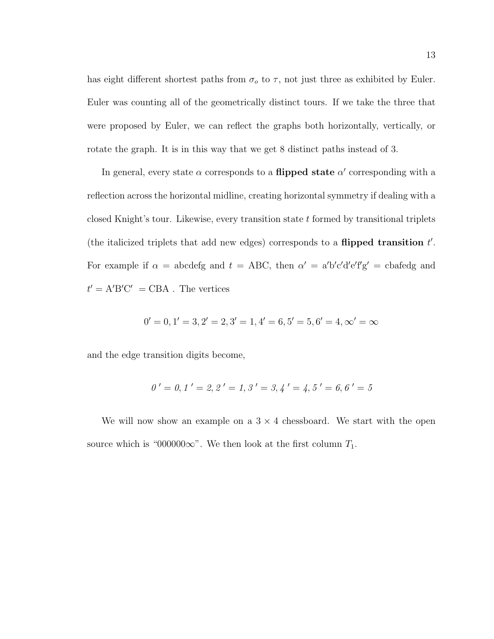has eight different shortest paths from  $\sigma_o$  to  $\tau$ , not just three as exhibited by Euler. Euler was counting all of the geometrically distinct tours. If we take the three that were proposed by Euler, we can reflect the graphs both horizontally, vertically, or rotate the graph. It is in this way that we get 8 distinct paths instead of 3.

In general, every state  $\alpha$  corresponds to a **flipped state**  $\alpha'$  corresponding with a reflection across the horizontal midline, creating horizontal symmetry if dealing with a closed Knight's tour. Likewise, every transition state  $t$  formed by transitional triplets (the italicized triplets that add new edges) corresponds to a **flipped transition**  $t'$ . For example if  $\alpha$  = abcdefg and  $t$  = ABC, then  $\alpha'$  = a'b'c'd'e'f'g' = cbafedg and  $t' = A'B'C' = CBA$ . The vertices

$$
0' = 0, 1' = 3, 2' = 2, 3' = 1, 4' = 6, 5' = 5, 6' = 4, \infty' = \infty
$$

and the edge transition digits become,

$$
0' = 0, 1' = 2, 2' = 1, 3' = 3, 4' = 4, 5' = 6, 6' = 5
$$

We will now show an example on a  $3 \times 4$  chessboard. We start with the open source which is "000000 $\infty$ ". We then look at the first column  $T_1$ .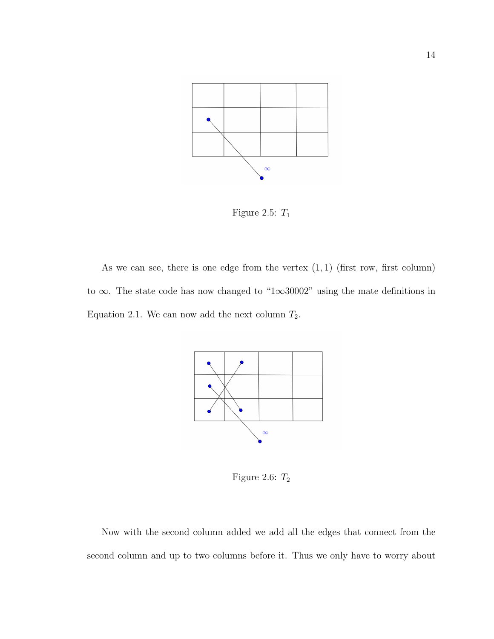

Figure 2.5:  $T_1$ 

As we can see, there is one edge from the vertex  $(1, 1)$  (first row, first column) to ∞. The state code has now changed to "1∞30002" using the mate definitions in Equation 2.1. We can now add the next column  $T_2$ .



Figure 2.6:  $T_{\rm 2}$ 

Now with the second column added we add all the edges that connect from the second column and up to two columns before it. Thus we only have to worry about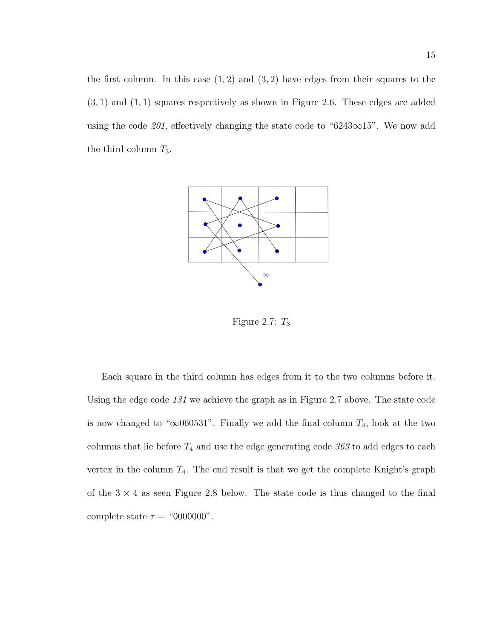the first column. In this case  $(1, 2)$  and  $(3, 2)$  have edges from their squares to the  $(3, 1)$  and  $(1, 1)$  squares respectively as shown in Figure 2.6. These edges are added using the code 201, effectively changing the state code to " $6243\infty15$ ". We now add the third column  $T_3$ .



Figure 2.7:  $T_3$ 

Each square in the third column has edges from it to the two columns before it. Using the edge code 131 we achieve the graph as in Figure 2.7 above. The state code is now changed to " $\infty$ 060531". Finally we add the final column  $T_4$ , look at the two columns that lie before  $T_4$  and use the edge generating code  $363$  to add edges to each vertex in the column  $T_4$ . The end result is that we get the complete Knight's graph of the  $3 \times 4$  as seen Figure 2.8 below. The state code is thus changed to the final complete state  $\tau =$  "0000000".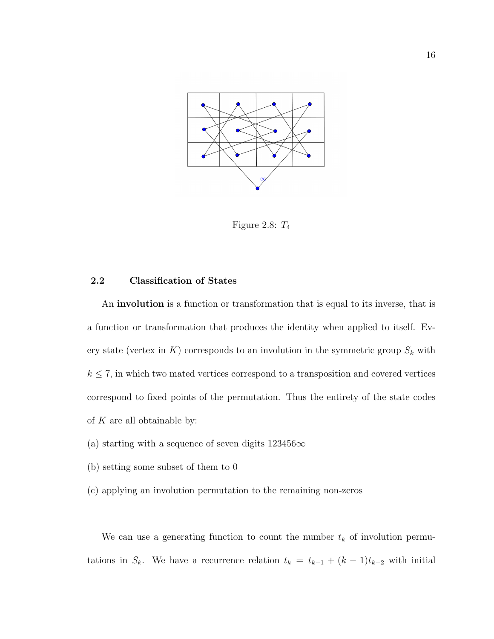

Figure 2.8:  $T_4$ 

#### 2.2 Classification of States

An involution is a function or transformation that is equal to its inverse, that is a function or transformation that produces the identity when applied to itself. Every state (vertex in  $K$ ) corresponds to an involution in the symmetric group  $S_k$  with  $k \leq 7$ , in which two mated vertices correspond to a transposition and covered vertices correspond to fixed points of the permutation. Thus the entirety of the state codes of  $K$  are all obtainable by:

- (a) starting with a sequence of seven digits  $123456\infty$
- (b) setting some subset of them to 0
- (c) applying an involution permutation to the remaining non-zeros

We can use a generating function to count the number  $t_k$  of involution permutations in  $S_k$ . We have a recurrence relation  $t_k = t_{k-1} + (k-1)t_{k-2}$  with initial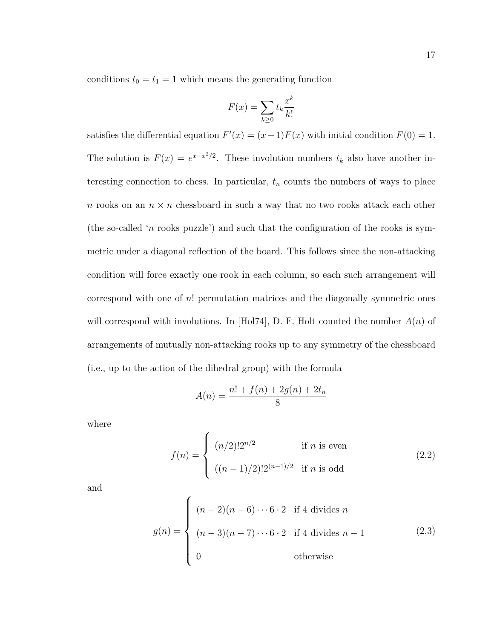conditions  $t_0 = t_1 = 1$  which means the generating function

$$
F(x) = \sum_{k \ge 0} t_k \frac{x^k}{k!}
$$

satisfies the differential equation  $F'(x) = (x+1)F(x)$  with initial condition  $F(0) = 1$ . The solution is  $F(x) = e^{x+x^2/2}$ . These involution numbers  $t_k$  also have another interesting connection to chess. In particular,  $t_n$  counts the numbers of ways to place n rooks on an  $n \times n$  chessboard in such a way that no two rooks attack each other (the so-called 'n rooks puzzle') and such that the configuration of the rooks is symmetric under a diagonal reflection of the board. This follows since the non-attacking condition will force exactly one rook in each column, so each such arrangement will correspond with one of  $n!$  permutation matrices and the diagonally symmetric ones will correspond with involutions. In [Hol74], D. F. Holt counted the number  $A(n)$  of arrangements of mutually non-attacking rooks up to any symmetry of the chessboard (i.e., up to the action of the dihedral group) with the formula

$$
A(n) = \frac{n! + f(n) + 2g(n) + 2t_n}{8}
$$

where

$$
f(n) = \begin{cases} (n/2)! 2^{n/2} & \text{if } n \text{ is even} \\ ((n-1)/2)! 2^{(n-1)/2} & \text{if } n \text{ is odd} \end{cases}
$$
 (2.2)

and

$$
g(n) = \begin{cases} (n-2)(n-6)\cdots 6\cdot 2 & \text{if } 4 \text{ divides } n \\ (n-3)(n-7)\cdots 6\cdot 2 & \text{if } 4 \text{ divides } n-1 \\ 0 & \text{otherwise} \end{cases}
$$
 (2.3)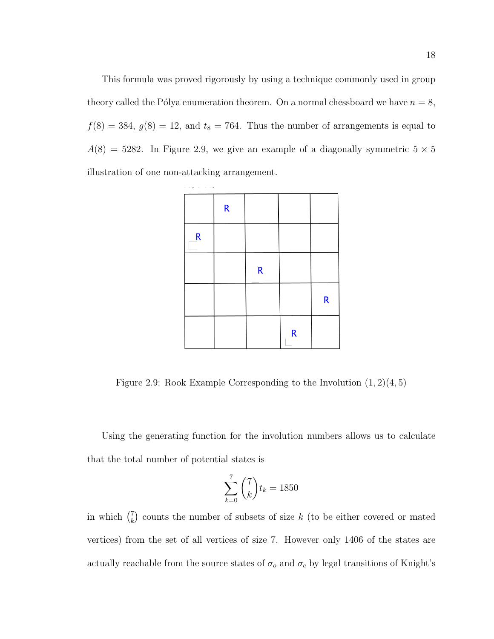This formula was proved rigorously by using a technique commonly used in group theory called the Pólya enumeration theorem. On a normal chessboard we have  $n = 8$ ,  $f(8) = 384, g(8) = 12,$  and  $t_8 = 764$ . Thus the number of arrangements is equal to  $A(8) = 5282$ . In Figure 2.9, we give an example of a diagonally symmetric  $5 \times 5$ illustration of one non-attacking arrangement.



Figure 2.9: Rook Example Corresponding to the Involution  $(1, 2)(4, 5)$ 

Using the generating function for the involution numbers allows us to calculate that the total number of potential states is

$$
\sum_{k=0}^{7} \binom{7}{k} t_k = 1850
$$

in which  $\binom{7}{k}$  $\binom{7}{k}$  counts the number of subsets of size k (to be either covered or mated vertices) from the set of all vertices of size 7. However only 1406 of the states are actually reachable from the source states of  $\sigma_o$  and  $\sigma_c$  by legal transitions of Knight's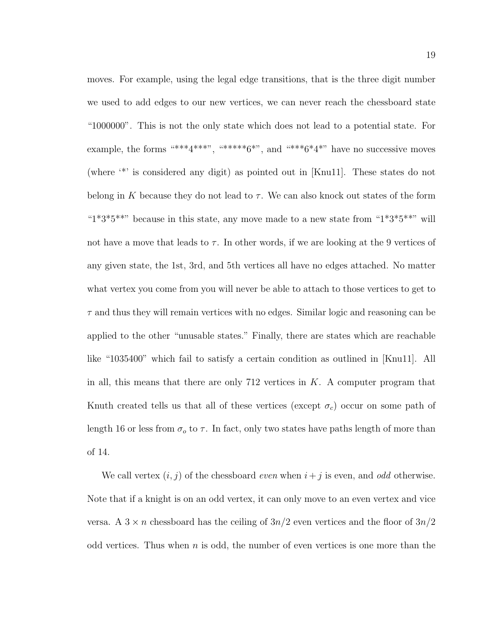moves. For example, using the legal edge transitions, that is the three digit number we used to add edges to our new vertices, we can never reach the chessboard state "1000000". This is not the only state which does not lead to a potential state. For example, the forms  $****4****$ ,  $*****6***$ , and  $****6*4***$  have no successive moves (where '\*' is considered any digit) as pointed out in [Knu11]. These states do not belong in K because they do not lead to  $\tau$ . We can also knock out states of the form " $1*3*5***$ " because in this state, any move made to a new state from " $1*3*5***$ " will not have a move that leads to  $\tau$ . In other words, if we are looking at the 9 vertices of any given state, the 1st, 3rd, and 5th vertices all have no edges attached. No matter what vertex you come from you will never be able to attach to those vertices to get to  $\tau$  and thus they will remain vertices with no edges. Similar logic and reasoning can be applied to the other "unusable states." Finally, there are states which are reachable like "1035400" which fail to satisfy a certain condition as outlined in [Knu11]. All in all, this means that there are only 712 vertices in  $K$ . A computer program that Knuth created tells us that all of these vertices (except  $\sigma_c$ ) occur on some path of length 16 or less from  $\sigma_o$  to  $\tau$ . In fact, only two states have paths length of more than of 14.

We call vertex  $(i, j)$  of the chessboard *even* when  $i + j$  is even, and *odd* otherwise. Note that if a knight is on an odd vertex, it can only move to an even vertex and vice versa. A  $3 \times n$  chessboard has the ceiling of  $3n/2$  even vertices and the floor of  $3n/2$ odd vertices. Thus when  $n$  is odd, the number of even vertices is one more than the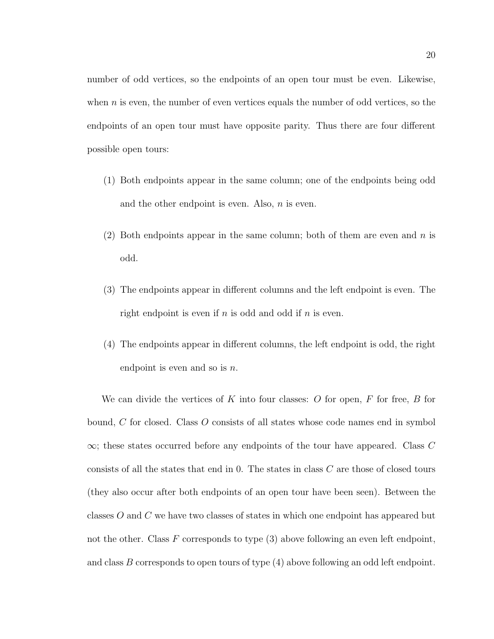number of odd vertices, so the endpoints of an open tour must be even. Likewise, when  $n$  is even, the number of even vertices equals the number of odd vertices, so the endpoints of an open tour must have opposite parity. Thus there are four different possible open tours:

- (1) Both endpoints appear in the same column; one of the endpoints being odd and the other endpoint is even. Also,  $n$  is even.
- (2) Both endpoints appear in the same column; both of them are even and  $n$  is odd.
- (3) The endpoints appear in different columns and the left endpoint is even. The right endpoint is even if  $n$  is odd and odd if  $n$  is even.
- (4) The endpoints appear in different columns, the left endpoint is odd, the right endpoint is even and so is  $n$ .

We can divide the vertices of K into four classes:  $O$  for open,  $F$  for free,  $B$  for bound, C for closed. Class O consists of all states whose code names end in symbol  $\infty$ ; these states occurred before any endpoints of the tour have appeared. Class C consists of all the states that end in 0. The states in class C are those of closed tours (they also occur after both endpoints of an open tour have been seen). Between the classes O and C we have two classes of states in which one endpoint has appeared but not the other. Class  $F$  corresponds to type  $(3)$  above following an even left endpoint, and class  $B$  corresponds to open tours of type  $(4)$  above following an odd left endpoint.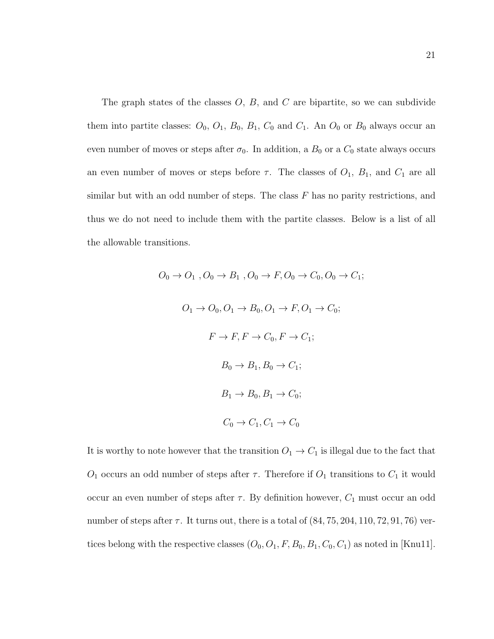The graph states of the classes  $O, B$ , and  $C$  are bipartite, so we can subdivide them into partite classes:  $O_0$ ,  $O_1$ ,  $B_0$ ,  $B_1$ ,  $C_0$  and  $C_1$ . An  $O_0$  or  $B_0$  always occur an even number of moves or steps after  $\sigma_0$ . In addition, a  $B_0$  or a  $C_0$  state always occurs an even number of moves or steps before  $\tau$ . The classes of  $O_1$ ,  $B_1$ , and  $C_1$  are all similar but with an odd number of steps. The class  $F$  has no parity restrictions, and thus we do not need to include them with the partite classes. Below is a list of all the allowable transitions.

> $O_0 \rightarrow O_1$ ,  $O_0 \rightarrow B_1$ ,  $O_0 \rightarrow F$ ,  $O_0 \rightarrow C_0$ ,  $O_0 \rightarrow C_1$ ;  $O_1 \rightarrow O_0, O_1 \rightarrow B_0, O_1 \rightarrow F, O_1 \rightarrow C_0;$  $F \to F, F \to C_0, F \to C_1;$  $B_0 \rightarrow B_1, B_0 \rightarrow C_1;$  $B_1 \rightarrow B_0, B_1 \rightarrow C_0;$  $C_0 \rightarrow C_1, C_1 \rightarrow C_0$

It is worthy to note however that the transition  $O_1 \rightarrow C_1$  is illegal due to the fact that  $O_1$  occurs an odd number of steps after  $\tau$ . Therefore if  $O_1$  transitions to  $C_1$  it would occur an even number of steps after  $\tau$ . By definition however,  $C_1$  must occur an odd number of steps after  $\tau$ . It turns out, there is a total of  $(84, 75, 204, 110, 72, 91, 76)$  vertices belong with the respective classes  $(O_0, O_1, F, B_0, B_1, C_0, C_1)$  as noted in [Knu11].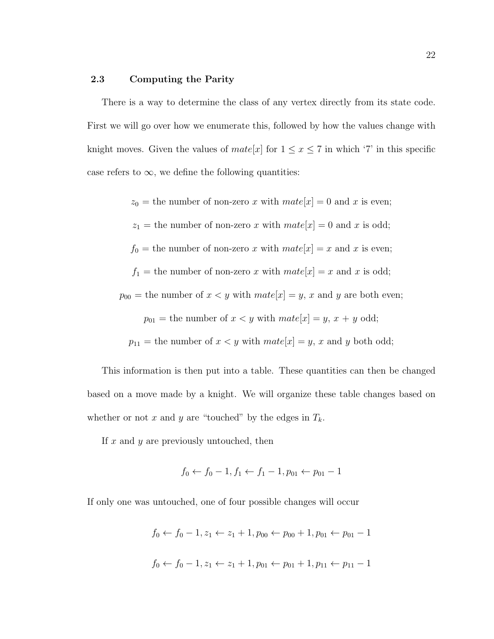#### 2.3 Computing the Parity

There is a way to determine the class of any vertex directly from its state code. First we will go over how we enumerate this, followed by how the values change with knight moves. Given the values of  $mate[x]$  for  $1 \le x \le 7$  in which '7' in this specific case refers to  $\infty$ , we define the following quantities:

 $z_0$  = the number of non-zero x with  $mate[x] = 0$  and x is even;  $z_1$  = the number of non-zero x with  $mate[x] = 0$  and x is odd;  $f_0$  = the number of non-zero x with  $mate[x] = x$  and x is even;  $f_1$  = the number of non-zero x with  $mate[x] = x$  and x is odd;  $p_{00}$  = the number of  $x < y$  with  $mate[x] = y$ , x and y are both even;  $p_{01}$  = the number of  $x < y$  with  $mate[x] = y, x + y$  odd;  $p_{11}$  = the number of  $x < y$  with  $mate[x] = y$ , x and y both odd;

This information is then put into a table. These quantities can then be changed based on a move made by a knight. We will organize these table changes based on whether or not x and y are "touched" by the edges in  $T_k$ .

If  $x$  and  $y$  are previously untouched, then

$$
f_0 \leftarrow f_0 - 1, f_1 \leftarrow f_1 - 1, p_{01} \leftarrow p_{01} - 1
$$

If only one was untouched, one of four possible changes will occur

 $f_0 \leftarrow f_0 - 1, z_1 \leftarrow z_1 + 1, p_{00} \leftarrow p_{00} + 1, p_{01} \leftarrow p_{01} - 1$  $f_0 \leftarrow f_0 - 1, z_1 \leftarrow z_1 + 1, p_{01} \leftarrow p_{01} + 1, p_{11} \leftarrow p_{11} - 1$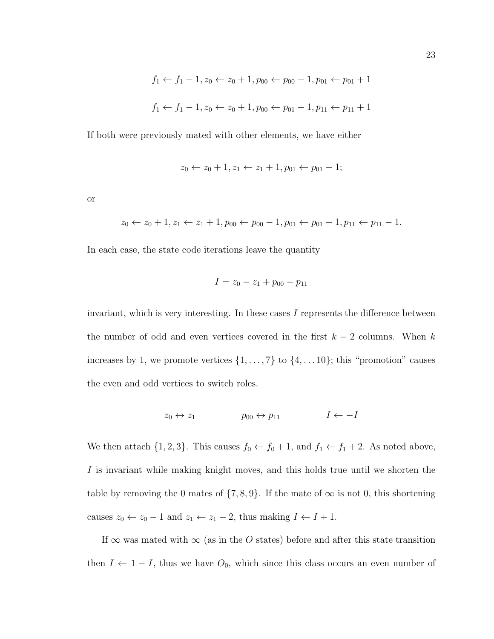$$
f_1 \leftarrow f_1 - 1, z_0 \leftarrow z_0 + 1, p_{00} \leftarrow p_{00} - 1, p_{01} \leftarrow p_{01} + 1
$$
  
 $f_1 \leftarrow f_1 - 1, z_0 \leftarrow z_0 + 1, p_{00} \leftarrow p_{01} - 1, p_{11} \leftarrow p_{11} + 1$ 

If both were previously mated with other elements, we have either

$$
z_0 \leftarrow z_0 + 1, z_1 \leftarrow z_1 + 1, p_{01} \leftarrow p_{01} - 1;
$$

or

$$
z_0 \leftarrow z_0 + 1, z_1 \leftarrow z_1 + 1, p_{00} \leftarrow p_{00} - 1, p_{01} \leftarrow p_{01} + 1, p_{11} \leftarrow p_{11} - 1.
$$

In each case, the state code iterations leave the quantity

$$
I = z_0 - z_1 + p_{00} - p_{11}
$$

invariant, which is very interesting. In these cases  $I$  represents the difference between the number of odd and even vertices covered in the first  $k - 2$  columns. When k increases by 1, we promote vertices  $\{1, \ldots, 7\}$  to  $\{4, \ldots, 10\}$ ; this "promotion" causes the even and odd vertices to switch roles.

$$
z_0 \leftrightarrow z_1 \qquad \qquad p_{00} \leftrightarrow p_{11} \qquad \qquad I \leftarrow -I
$$

We then attach  $\{1, 2, 3\}$ . This causes  $f_0 \leftarrow f_0 + 1$ , and  $f_1 \leftarrow f_1 + 2$ . As noted above, I is invariant while making knight moves, and this holds true until we shorten the table by removing the 0 mates of  $\{7, 8, 9\}$ . If the mate of  $\infty$  is not 0, this shortening causes  $z_0 \leftarrow z_0 - 1$  and  $z_1 \leftarrow z_1 - 2$ , thus making  $I \leftarrow I + 1$ .

If  $\infty$  was mated with  $\infty$  (as in the O states) before and after this state transition then  $I \leftarrow 1 - I$ , thus we have  $O_0$ , which since this class occurs an even number of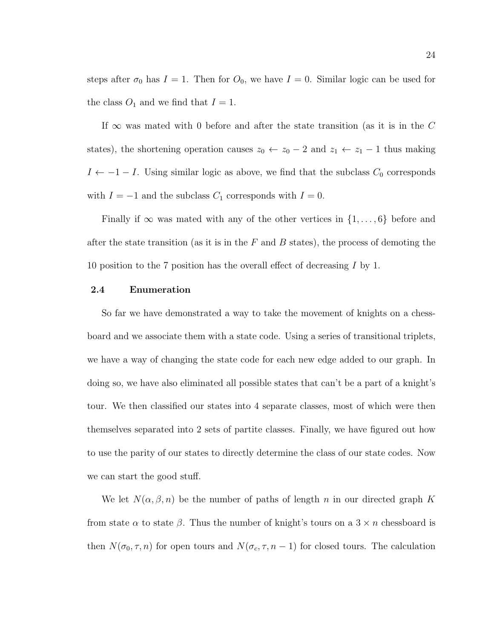steps after  $\sigma_0$  has  $I = 1$ . Then for  $O_0$ , we have  $I = 0$ . Similar logic can be used for the class  $O_1$  and we find that  $I = 1$ .

If  $\infty$  was mated with 0 before and after the state transition (as it is in the C states), the shortening operation causes  $z_0 \leftarrow z_0 - 2$  and  $z_1 \leftarrow z_1 - 1$  thus making  $I \leftarrow -1 - I$ . Using similar logic as above, we find that the subclass  $C_0$  corresponds with  $I = -1$  and the subclass  $C_1$  corresponds with  $I = 0$ .

Finally if  $\infty$  was mated with any of the other vertices in  $\{1,\ldots,6\}$  before and after the state transition (as it is in the  $F$  and  $B$  states), the process of demoting the 10 position to the 7 position has the overall effect of decreasing I by 1.

#### 2.4 Enumeration

So far we have demonstrated a way to take the movement of knights on a chessboard and we associate them with a state code. Using a series of transitional triplets, we have a way of changing the state code for each new edge added to our graph. In doing so, we have also eliminated all possible states that can't be a part of a knight's tour. We then classified our states into 4 separate classes, most of which were then themselves separated into 2 sets of partite classes. Finally, we have figured out how to use the parity of our states to directly determine the class of our state codes. Now we can start the good stuff.

We let  $N(\alpha, \beta, n)$  be the number of paths of length n in our directed graph K from state  $\alpha$  to state  $\beta$ . Thus the number of knight's tours on a 3  $\times$  *n* chessboard is then  $N(\sigma_0, \tau, n)$  for open tours and  $N(\sigma_c, \tau, n-1)$  for closed tours. The calculation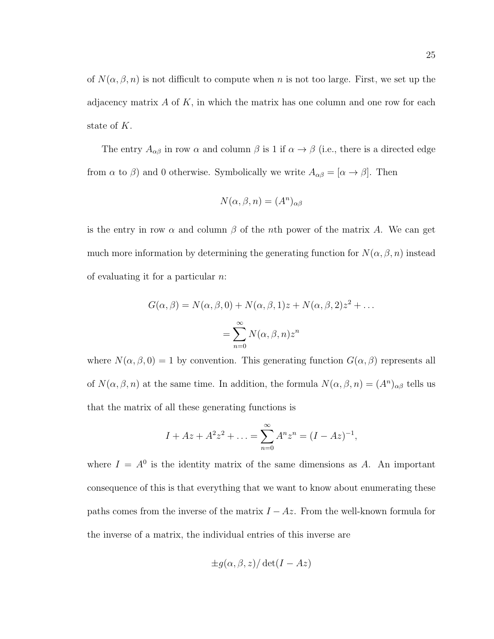of  $N(\alpha, \beta, n)$  is not difficult to compute when n is not too large. First, we set up the adjacency matrix  $A$  of  $K$ , in which the matrix has one column and one row for each state of K.

The entry  $A_{\alpha\beta}$  in row  $\alpha$  and column  $\beta$  is 1 if  $\alpha \to \beta$  (i.e., there is a directed edge from  $\alpha$  to  $\beta$ ) and 0 otherwise. Symbolically we write  $A_{\alpha\beta} = [\alpha \to \beta]$ . Then

$$
N(\alpha, \beta, n) = (A^n)_{\alpha\beta}
$$

is the entry in row  $\alpha$  and column  $\beta$  of the *n*th power of the matrix A. We can get much more information by determining the generating function for  $N(\alpha, \beta, n)$  instead of evaluating it for a particular n:

$$
G(\alpha, \beta) = N(\alpha, \beta, 0) + N(\alpha, \beta, 1)z + N(\alpha, \beta, 2)z^{2} + \dots
$$

$$
= \sum_{n=0}^{\infty} N(\alpha, \beta, n)z^{n}
$$

where  $N(\alpha, \beta, 0) = 1$  by convention. This generating function  $G(\alpha, \beta)$  represents all of  $N(\alpha, \beta, n)$  at the same time. In addition, the formula  $N(\alpha, \beta, n) = (A^n)_{\alpha\beta}$  tells us that the matrix of all these generating functions is

$$
I + Az + A^{2}z^{2} + \ldots = \sum_{n=0}^{\infty} A^{n}z^{n} = (I - Az)^{-1},
$$

where  $I = A^0$  is the identity matrix of the same dimensions as A. An important consequence of this is that everything that we want to know about enumerating these paths comes from the inverse of the matrix  $I - Az$ . From the well-known formula for the inverse of a matrix, the individual entries of this inverse are

$$
\pm g(\alpha, \beta, z) / \det(I - Az)
$$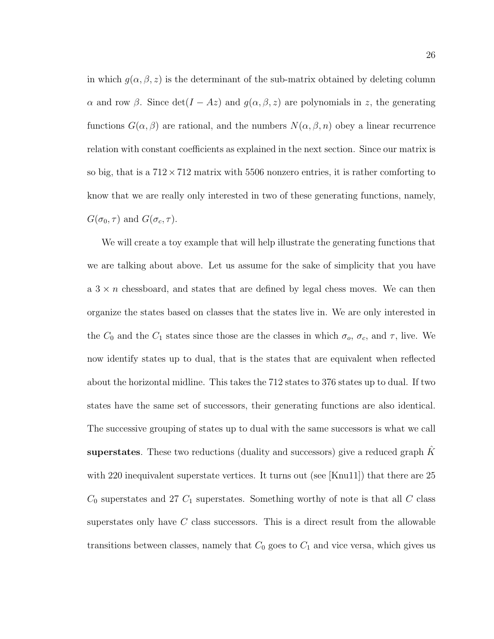in which  $g(\alpha, \beta, z)$  is the determinant of the sub-matrix obtained by deleting column α and row β. Since  $det(I - Az)$  and  $g(\alpha, \beta, z)$  are polynomials in z, the generating functions  $G(\alpha, \beta)$  are rational, and the numbers  $N(\alpha, \beta, n)$  obey a linear recurrence relation with constant coefficients as explained in the next section. Since our matrix is so big, that is a  $712 \times 712$  matrix with 5506 nonzero entries, it is rather comforting to know that we are really only interested in two of these generating functions, namely,  $G(\sigma_0, \tau)$  and  $G(\sigma_c, \tau)$ .

We will create a toy example that will help illustrate the generating functions that we are talking about above. Let us assume for the sake of simplicity that you have a  $3 \times n$  chessboard, and states that are defined by legal chess moves. We can then organize the states based on classes that the states live in. We are only interested in the  $C_0$  and the  $C_1$  states since those are the classes in which  $\sigma_o$ ,  $\sigma_c$ , and  $\tau$ , live. We now identify states up to dual, that is the states that are equivalent when reflected about the horizontal midline. This takes the 712 states to 376 states up to dual. If two states have the same set of successors, their generating functions are also identical. The successive grouping of states up to dual with the same successors is what we call superstates. These two reductions (duality and successors) give a reduced graph  $\hat{K}$ with 220 inequivalent superstate vertices. It turns out (see [Knu11]) that there are 25  $C_0$  superstates and 27  $C_1$  superstates. Something worthy of note is that all  $C$  class superstates only have  $C$  class successors. This is a direct result from the allowable transitions between classes, namely that  $C_0$  goes to  $C_1$  and vice versa, which gives us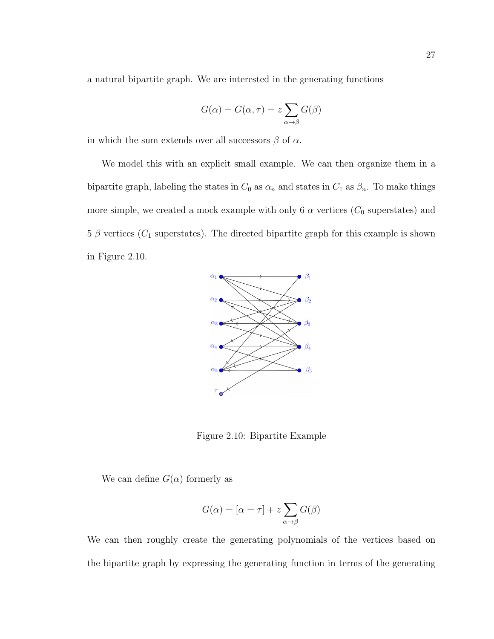a natural bipartite graph. We are interested in the generating functions

$$
G(\alpha) = G(\alpha, \tau) = z \sum_{\alpha \to \beta} G(\beta)
$$

in which the sum extends over all successors  $\beta$  of  $\alpha$ .

We model this with an explicit small example. We can then organize them in a bipartite graph, labeling the states in  $C_0$  as  $\alpha_n$  and states in  $C_1$  as  $\beta_n$ . To make things more simple, we created a mock example with only 6  $\alpha$  vertices ( $C_0$  superstates) and  $5 \beta$  vertices ( $C_1$  superstates). The directed bipartite graph for this example is shown in Figure 2.10.



Figure 2.10: Bipartite Example

We can define  $G(\alpha)$  formerly as

$$
G(\alpha) = [\alpha = \tau] + z \sum_{\alpha \to \beta} G(\beta)
$$

We can then roughly create the generating polynomials of the vertices based on the bipartite graph by expressing the generating function in terms of the generating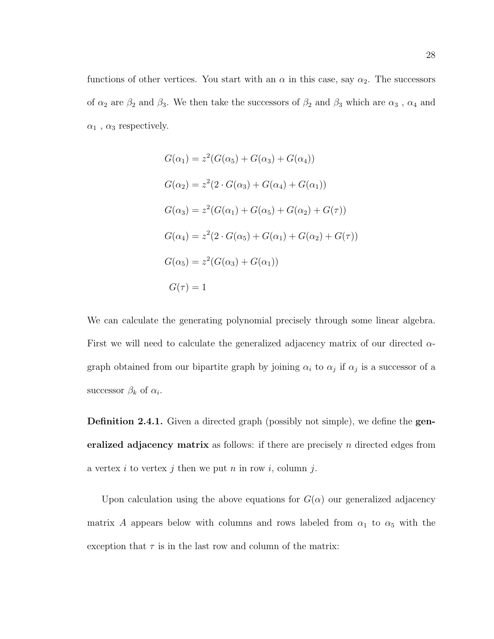functions of other vertices. You start with an  $\alpha$  in this case, say  $\alpha_2$ . The successors of  $\alpha_2$  are  $\beta_2$  and  $\beta_3.$  We then take the successors of  $\beta_2$  and  $\beta_3$  which are  $\alpha_3$  ,  $\alpha_4$  and  $\alpha_1$ ,  $\alpha_3$  respectively.

$$
G(\alpha_1) = z^2 (G(\alpha_5) + G(\alpha_3) + G(\alpha_4))
$$
  
\n
$$
G(\alpha_2) = z^2 (2 \cdot G(\alpha_3) + G(\alpha_4) + G(\alpha_1))
$$
  
\n
$$
G(\alpha_3) = z^2 (G(\alpha_1) + G(\alpha_5) + G(\alpha_2) + G(\tau))
$$
  
\n
$$
G(\alpha_4) = z^2 (2 \cdot G(\alpha_5) + G(\alpha_1) + G(\alpha_2) + G(\tau))
$$
  
\n
$$
G(\alpha_5) = z^2 (G(\alpha_3) + G(\alpha_1))
$$
  
\n
$$
G(\tau) = 1
$$

We can calculate the generating polynomial precisely through some linear algebra. First we will need to calculate the generalized adjacency matrix of our directed  $\alpha$ graph obtained from our bipartite graph by joining  $\alpha_i$  to  $\alpha_j$  if  $\alpha_j$  is a successor of a successor  $\beta_k$  of  $\alpha_i$ .

**Definition 2.4.1.** Given a directed graph (possibly not simple), we define the **gen**eralized adjacency matrix as follows: if there are precisely  $n$  directed edges from a vertex i to vertex j then we put n in row i, column j.

Upon calculation using the above equations for  $G(\alpha)$  our generalized adjacency matrix A appears below with columns and rows labeled from  $\alpha_1$  to  $\alpha_5$  with the exception that  $\tau$  is in the last row and column of the matrix: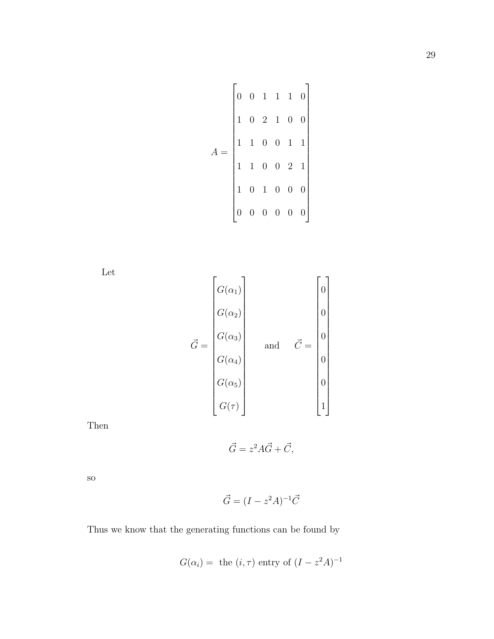$$
A = \begin{bmatrix} 0 & 0 & 1 & 1 & 1 & 0 \\ 1 & 0 & 2 & 1 & 0 & 0 \\ 1 & 1 & 0 & 0 & 1 & 1 \\ 1 & 1 & 0 & 0 & 2 & 1 \\ 1 & 0 & 1 & 0 & 0 & 0 \\ 0 & 0 & 0 & 0 & 0 & 0 \end{bmatrix}
$$

Let

$$
\vec{G} = \begin{bmatrix} G(\alpha_1) \\ G(\alpha_2) \\ G(\alpha_3) \\ G(\alpha_4) \\ G(\alpha_5) \\ G(\tau) \end{bmatrix} \quad \text{and} \quad \vec{C} = \begin{bmatrix} 0 \\ 0 \\ 0 \\ 0 \\ 0 \\ 0 \\ 1 \end{bmatrix}
$$

Then

$$
\vec{G} = z^2 A \vec{G} + \vec{C},
$$

so

$$
\vec{G} = (I - z^2 A)^{-1} \vec{C}
$$

Thus we know that the generating functions can be found by

$$
G(\alpha_i)
$$
 = the  $(i, \tau)$  entry of  $(I - z^2 A)^{-1}$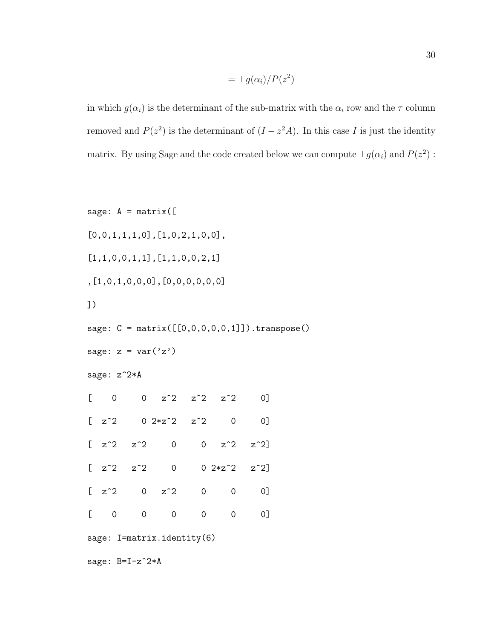$$
= \pm g(\alpha_i)/P(z^2)
$$

in which  $g(\alpha_i)$  is the determinant of the sub-matrix with the  $\alpha_i$  row and the  $\tau$  column removed and  $P(z^2)$  is the determinant of  $(I - z^2 A)$ . In this case I is just the identity matrix. By using Sage and the code created below we can compute  $\pm g(\alpha_i)$  and  $P(z^2)$ :

```
sage: A = matrix([[0,0,1,1,1,0],[1,0,2,1,0,0],
[1,1,0,0,1,1],[1,1,0,0,2,1]
,[1,0,1,0,0,0],[0,0,0,0,0,0]
])
sage: C = matrix([0, 0, 0, 0, 0, 1]]). transpose()
sage: z = var('z')sage: z^2*A
[ 0 0 z<sup>2</sup> z<sup>2</sup> z<sup>2</sup> z<sup>2</sup> 0]
[ z^2 0 2*z^2 z^2 2 0 0 ]\begin{bmatrix} z^2 & z^2 & 0 & 0 & z^2 & z^2 \end{bmatrix}\begin{bmatrix} z^2 & z^2 & 0 & 0 & 2*z^2 & z^2 \end{bmatrix}[ z^2 0 z^2 0 0 0 ][0 \t 0 \t 0 \t 0 \t 0 \t 0]sage: I=matrix.identity(6)
sage: B=I-z<sup>-2*A</sup>
```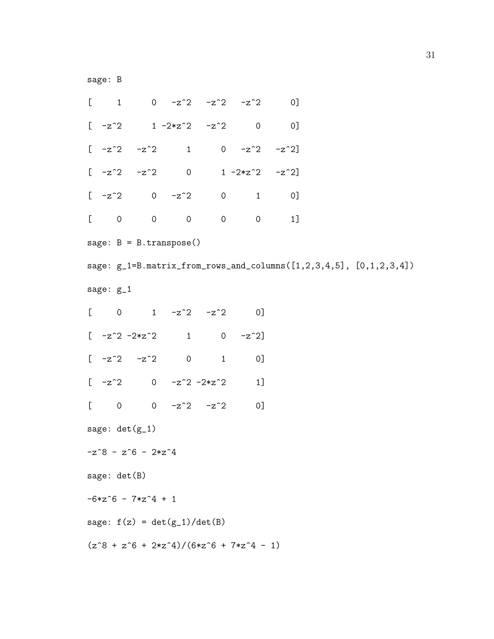sage: B

 $[$  1 0  $-z^2$   $-z^2$   $-z^2$  0]  $[-z^2$  1  $-2*z^2$   $-z^2$  0 0]  $[-z^2 -z^2 -z^2]$  1 0  $-z^2 -z^2]$  $[-z^2 -z^2 -z^2]$  0 1 -2\*z^2 -z^2]  $[-z^2]$  0  $-z^2$  0 1 0] [ 0 0 0 0 0 1] sage: B = B.transpose() sage: g\_1=B.matrix\_from\_rows\_and\_columns([1,2,3,4,5], [0,1,2,3,4]) sage: g\_1  $[$  0 1 -z^2 -z^2 0]  $[-z^2 -2*z^2]$  1 0  $-z^2$ ]  $[-z^2 -z^2 -z^2]$  0 1 0]  $[-z^2 \ 0 \ -z^2 \ -2*z^2 \ 1]$  $[$  0 0 -z^2 -z^2 0] sage: det(g\_1)  $-z^8 - z^6 - 2*z^4$ sage: det(B)  $-6*z^6 - 7*z^4 + 1$ sage:  $f(z) = det(g_1)/det(B)$  $(z^8 + z^6 + 2*z^4)/(6*z^6 + 7*z^4 - 1)$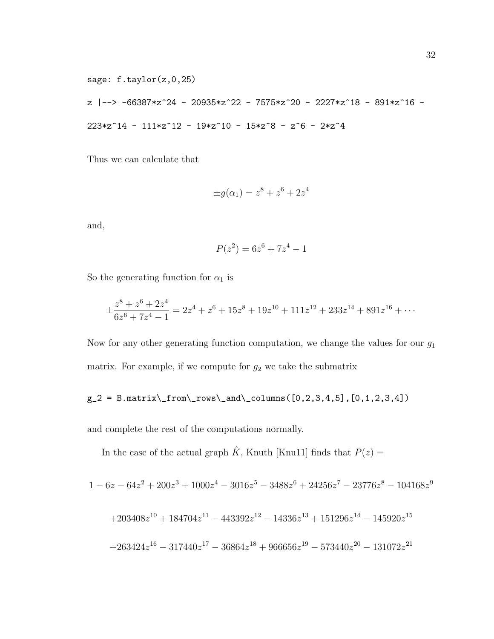\n
$$
\text{sage: } f.\text{taylor}(z, 0, 25)
$$
\n  
\n $z \mid - \gt{}$ \n  
\n $-66387 \cdot z^24 - 20935 \cdot z^22 - 7575 \cdot z^20 - 2227 \cdot z^18 - 891 \cdot z^16 - 223 \cdot z^14 - 111 \cdot z^12 - 19 \cdot z^10 - 15 \cdot z^8 - z^6 - 2 \cdot z^4$ \n

Thus we can calculate that

$$
\pm g(\alpha_1) = z^8 + z^6 + 2z^4
$$

and,

$$
P(z^2) = 6z^6 + 7z^4 - 1
$$

So the generating function for  $\alpha_1$  is

$$
\pm \frac{z^8 + z^6 + 2z^4}{6z^6 + 7z^4 - 1} = 2z^4 + z^6 + 15z^8 + 19z^{10} + 111z^{12} + 233z^{14} + 891z^{16} + \cdots
$$

Now for any other generating function computation, we change the values for our  $g_1$ matrix. For example, if we compute for  $g_2$  we take the submatrix

$$
g_2 = B.matrix\_{row}\_{and}\_{columns([0,2,3,4,5],[0,1,2,3,4])}
$$

and complete the rest of the computations normally.

In the case of the actual graph  $\hat{K},$  Knuth [Knu11] finds that  $P(z) =$ 

$$
1 - 6z - 64z2 + 200z3 + 1000z4 - 3016z5 - 3488z6 + 24256z7 - 23776z8 - 104168z9
$$
  
+203408z<sup>10</sup> + 184704z<sup>11</sup> - 443392z<sup>12</sup> - 14336z<sup>13</sup> + 151296z<sup>14</sup> - 145920z<sup>15</sup>  
+263424z<sup>16</sup> - 317440z<sup>17</sup> - 36864z<sup>18</sup> + 966656z<sup>19</sup> - 573440z<sup>20</sup> - 131072z<sup>21</sup>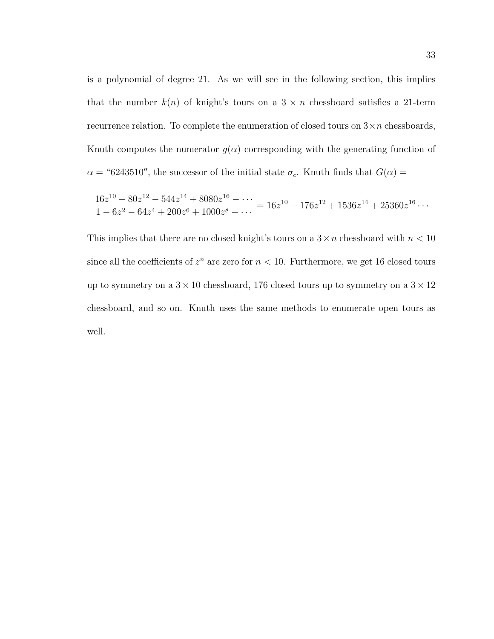is a polynomial of degree 21. As we will see in the following section, this implies that the number  $k(n)$  of knight's tours on a  $3 \times n$  chessboard satisfies a 21-term recurrence relation. To complete the enumeration of closed tours on  $3 \times n$  chessboards, Knuth computes the numerator  $g(\alpha)$  corresponding with the generating function of  $\alpha$  = "6243510", the successor of the initial state  $\sigma_c$ . Knuth finds that  $G(\alpha)$  =

$$
\frac{16z^{10} + 80z^{12} - 544z^{14} + 8080z^{16} - \dots}{1 - 6z^2 - 64z^4 + 200z^6 + 1000z^8 - \dots} = 16z^{10} + 176z^{12} + 1536z^{14} + 25360z^{16} \dots
$$

This implies that there are no closed knight's tours on a  $3 \times n$  chessboard with  $n < 10$ since all the coefficients of  $z^n$  are zero for  $n < 10$ . Furthermore, we get 16 closed tours up to symmetry on a  $3 \times 10$  chessboard, 176 closed tours up to symmetry on a  $3 \times 12$ chessboard, and so on. Knuth uses the same methods to enumerate open tours as well.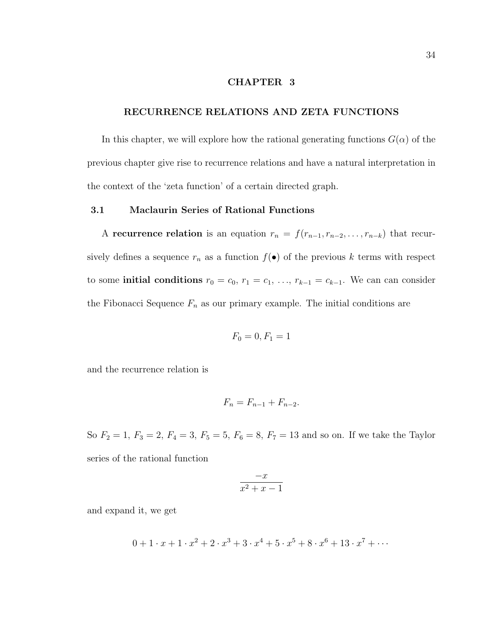#### CHAPTER 3

#### RECURRENCE RELATIONS AND ZETA FUNCTIONS

In this chapter, we will explore how the rational generating functions  $G(\alpha)$  of the previous chapter give rise to recurrence relations and have a natural interpretation in the context of the 'zeta function' of a certain directed graph.

#### 3.1 Maclaurin Series of Rational Functions

A recurrence relation is an equation  $r_n = f(r_{n-1}, r_{n-2}, \ldots, r_{n-k})$  that recursively defines a sequence  $r_n$  as a function  $f(\bullet)$  of the previous k terms with respect to some **initial conditions**  $r_0 = c_0$ ,  $r_1 = c_1$ , ...,  $r_{k-1} = c_{k-1}$ . We can can consider the Fibonacci Sequence  $F_n$  as our primary example. The initial conditions are

$$
F_0=0, F_1=1
$$

and the recurrence relation is

$$
F_n = F_{n-1} + F_{n-2}.
$$

So  $F_2 = 1, F_3 = 2, F_4 = 3, F_5 = 5, F_6 = 8, F_7 = 13$  and so on. If we take the Taylor series of the rational function

$$
\frac{-x}{x^2 + x - 1}
$$

and expand it, we get

$$
0 + 1 \cdot x + 1 \cdot x^2 + 2 \cdot x^3 + 3 \cdot x^4 + 5 \cdot x^5 + 8 \cdot x^6 + 13 \cdot x^7 + \cdots
$$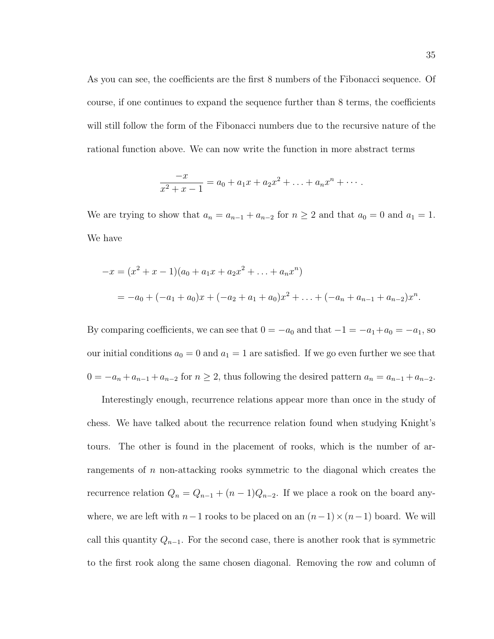As you can see, the coefficients are the first 8 numbers of the Fibonacci sequence. Of course, if one continues to expand the sequence further than 8 terms, the coefficients will still follow the form of the Fibonacci numbers due to the recursive nature of the rational function above. We can now write the function in more abstract terms

$$
\frac{-x}{x^2 + x - 1} = a_0 + a_1 x + a_2 x^2 + \ldots + a_n x^n + \cdots
$$

We are trying to show that  $a_n = a_{n-1} + a_{n-2}$  for  $n \ge 2$  and that  $a_0 = 0$  and  $a_1 = 1$ . We have

$$
-x = (x2 + x - 1)(a0 + a1x + a2x2 + ... + anxn)
$$
  
= -a<sub>0</sub> + (-a<sub>1</sub> + a<sub>0</sub>)x + (-a<sub>2</sub> + a<sub>1</sub> + a<sub>0</sub>)x<sup>2</sup> + ... + (-a<sub>n</sub> + a<sub>n-1</sub> + a<sub>n-2</sub>)x<sup>n</sup>.

By comparing coefficients, we can see that  $0 = -a_0$  and that  $-1 = -a_1 + a_0 = -a_1$ , so our initial conditions  $a_0 = 0$  and  $a_1 = 1$  are satisfied. If we go even further we see that  $0 = -a_n + a_{n-1} + a_{n-2}$  for  $n \ge 2$ , thus following the desired pattern  $a_n = a_{n-1} + a_{n-2}$ .

Interestingly enough, recurrence relations appear more than once in the study of chess. We have talked about the recurrence relation found when studying Knight's tours. The other is found in the placement of rooks, which is the number of arrangements of n non-attacking rooks symmetric to the diagonal which creates the recurrence relation  $Q_n = Q_{n-1} + (n-1)Q_{n-2}$ . If we place a rook on the board anywhere, we are left with  $n-1$  rooks to be placed on an  $(n-1) \times (n-1)$  board. We will call this quantity  $Q_{n-1}$ . For the second case, there is another rook that is symmetric to the first rook along the same chosen diagonal. Removing the row and column of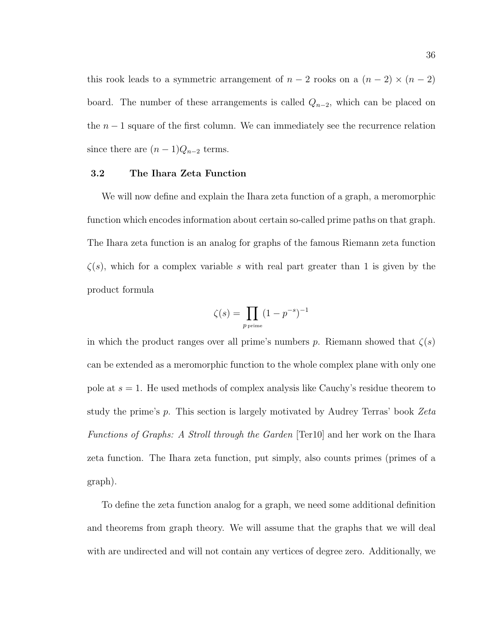this rook leads to a symmetric arrangement of  $n-2$  rooks on a  $(n-2) \times (n-2)$ board. The number of these arrangements is called  $Q_{n-2}$ , which can be placed on the  $n-1$  square of the first column. We can immediately see the recurrence relation since there are  $(n-1)Q_{n-2}$  terms.

#### 3.2 The Ihara Zeta Function

We will now define and explain the Ihara zeta function of a graph, a meromorphic function which encodes information about certain so-called prime paths on that graph. The Ihara zeta function is an analog for graphs of the famous Riemann zeta function  $\zeta(s)$ , which for a complex variable s with real part greater than 1 is given by the product formula

$$
\zeta(s) = \prod_{p \text{ prime}} (1 - p^{-s})^{-1}
$$

in which the product ranges over all prime's numbers p. Riemann showed that  $\zeta(s)$ can be extended as a meromorphic function to the whole complex plane with only one pole at  $s = 1$ . He used methods of complex analysis like Cauchy's residue theorem to study the prime's p. This section is largely motivated by Audrey Terras' book Zeta Functions of Graphs: A Stroll through the Garden [Ter10] and her work on the Ihara zeta function. The Ihara zeta function, put simply, also counts primes (primes of a graph).

To define the zeta function analog for a graph, we need some additional definition and theorems from graph theory. We will assume that the graphs that we will deal with are undirected and will not contain any vertices of degree zero. Additionally, we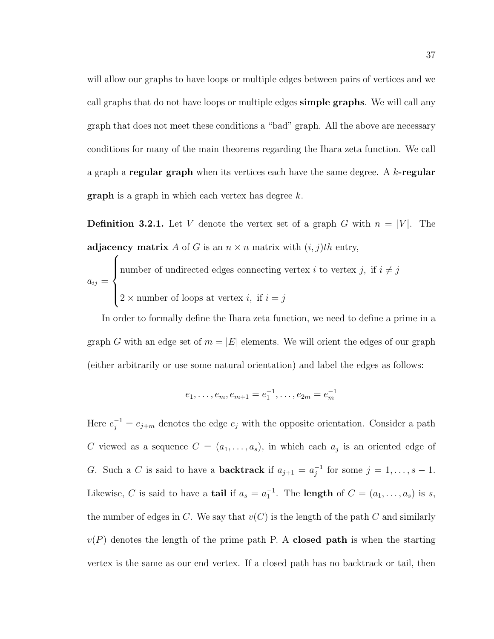will allow our graphs to have loops or multiple edges between pairs of vertices and we call graphs that do not have loops or multiple edges simple graphs. We will call any graph that does not meet these conditions a "bad" graph. All the above are necessary conditions for many of the main theorems regarding the Ihara zeta function. We call a graph a regular graph when its vertices each have the same degree. A  $k$ -regular **graph** is a graph in which each vertex has degree  $k$ .

**Definition 3.2.1.** Let V denote the vertex set of a graph G with  $n = |V|$ . The adjacency matrix A of G is an  $n \times n$  matrix with  $(i, j)$ th entry,

$$
a_{ij} = \begin{cases} \text{number of undirected edges connecting vertex } i \text{ to vertex } j, \text{ if } i \neq j \\ \\ 2 \times \text{number of loops at vertex } i, \text{ if } i = j \end{cases}
$$

 $\epsilon$ 

In order to formally define the Ihara zeta function, we need to define a prime in a graph G with an edge set of  $m = |E|$  elements. We will orient the edges of our graph (either arbitrarily or use some natural orientation) and label the edges as follows:

$$
e_1, \ldots, e_m, e_{m+1} = e_1^{-1}, \ldots, e_{2m} = e_m^{-1}
$$

Here  $e_j^{-1} = e_{j+m}$  denotes the edge  $e_j$  with the opposite orientation. Consider a path C viewed as a sequence  $C = (a_1, \ldots, a_s)$ , in which each  $a_j$  is an oriented edge of G. Such a C is said to have a **backtrack** if  $a_{j+1} = a_j^{-1}$  $j^{-1}$  for some  $j = 1, ..., s - 1$ . Likewise, C is said to have a **tail** if  $a_s = a_1^{-1}$ . The **length** of  $C = (a_1, \ldots, a_s)$  is s, the number of edges in C. We say that  $v(C)$  is the length of the path C and similarly  $v(P)$  denotes the length of the prime path P. A closed path is when the starting vertex is the same as our end vertex. If a closed path has no backtrack or tail, then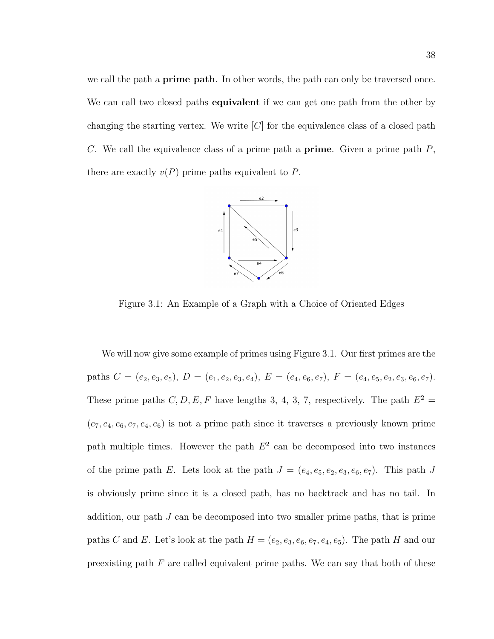we call the path a **prime path**. In other words, the path can only be traversed once. We can call two closed paths **equivalent** if we can get one path from the other by changing the starting vertex. We write  $[C]$  for the equivalence class of a closed path C. We call the equivalence class of a prime path a **prime**. Given a prime path  $P$ , there are exactly  $v(P)$  prime paths equivalent to P.



Figure 3.1: An Example of a Graph with a Choice of Oriented Edges

We will now give some example of primes using Figure 3.1. Our first primes are the paths  $C = (e_2, e_3, e_5), D = (e_1, e_2, e_3, e_4), E = (e_4, e_6, e_7), F = (e_4, e_5, e_2, e_3, e_6, e_7).$ These prime paths C, D, E, F have lengths 3, 4, 3, 7, respectively. The path  $E^2 =$  $(e_7, e_4, e_6, e_7, e_4, e_6)$  is not a prime path since it traverses a previously known prime path multiple times. However the path  $E<sup>2</sup>$  can be decomposed into two instances of the prime path E. Lets look at the path  $J = (e_4, e_5, e_2, e_3, e_6, e_7)$ . This path J is obviously prime since it is a closed path, has no backtrack and has no tail. In addition, our path  $J$  can be decomposed into two smaller prime paths, that is prime paths C and E. Let's look at the path  $H = (e_2, e_3, e_6, e_7, e_4, e_5)$ . The path H and our preexisting path  $F$  are called equivalent prime paths. We can say that both of these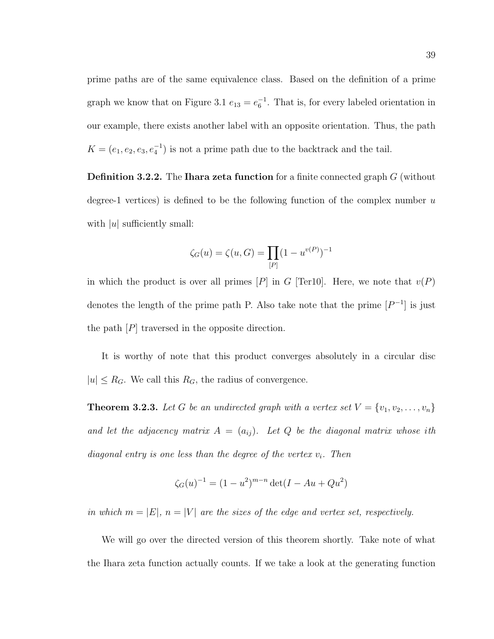prime paths are of the same equivalence class. Based on the definition of a prime graph we know that on Figure 3.1  $e_{13} = e_6^{-1}$ . That is, for every labeled orientation in our example, there exists another label with an opposite orientation. Thus, the path  $K = (e_1, e_2, e_3, e_4^{-1})$  is not a prime path due to the backtrack and the tail.

**Definition 3.2.2.** The **Ihara zeta function** for a finite connected graph  $G$  (without degree-1 vertices) is defined to be the following function of the complex number  $u$ with  $|u|$  sufficiently small:

$$
\zeta_G(u) = \zeta(u,G) = \prod_{[P]} (1-u^{v(P)})^{-1}
$$

in which the product is over all primes  $[P]$  in G [Ter10]. Here, we note that  $v(P)$ denotes the length of the prime path P. Also take note that the prime  $[P^{-1}]$  is just the path  $[P]$  traversed in the opposite direction.

It is worthy of note that this product converges absolutely in a circular disc  $|u| \leq R_G$ . We call this  $R_G$ , the radius of convergence.

**Theorem 3.2.3.** Let G be an undirected graph with a vertex set  $V = \{v_1, v_2, \ldots, v_n\}$ and let the adjacency matrix  $A = (a_{ij})$ . Let Q be the diagonal matrix whose ith diagonal entry is one less than the degree of the vertex  $v_i$ . Then

$$
\zeta_G(u)^{-1} = (1 - u^2)^{m-n} \det(I - Au + Qu^2)
$$

in which  $m = |E|$ ,  $n = |V|$  are the sizes of the edge and vertex set, respectively.

We will go over the directed version of this theorem shortly. Take note of what the Ihara zeta function actually counts. If we take a look at the generating function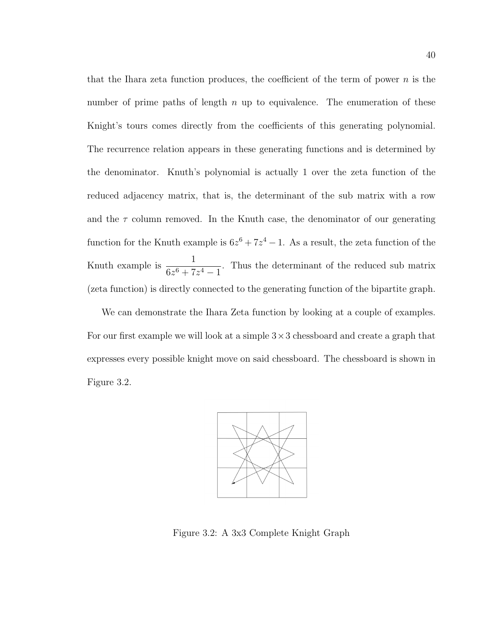that the Ihara zeta function produces, the coefficient of the term of power  $n$  is the number of prime paths of length  $n$  up to equivalence. The enumeration of these Knight's tours comes directly from the coefficients of this generating polynomial. The recurrence relation appears in these generating functions and is determined by the denominator. Knuth's polynomial is actually 1 over the zeta function of the reduced adjacency matrix, that is, the determinant of the sub matrix with a row and the  $\tau$  column removed. In the Knuth case, the denominator of our generating function for the Knuth example is  $6z^6 + 7z^4 - 1$ . As a result, the zeta function of the Knuth example is  $\frac{1}{6.6+7}$  $\frac{1}{6z^6 + 7z^4 - 1}$ . Thus the determinant of the reduced sub matrix (zeta function) is directly connected to the generating function of the bipartite graph.

We can demonstrate the Ihara Zeta function by looking at a couple of examples. For our first example we will look at a simple  $3 \times 3$  chessboard and create a graph that expresses every possible knight move on said chessboard. The chessboard is shown in Figure 3.2.



Figure 3.2: A 3x3 Complete Knight Graph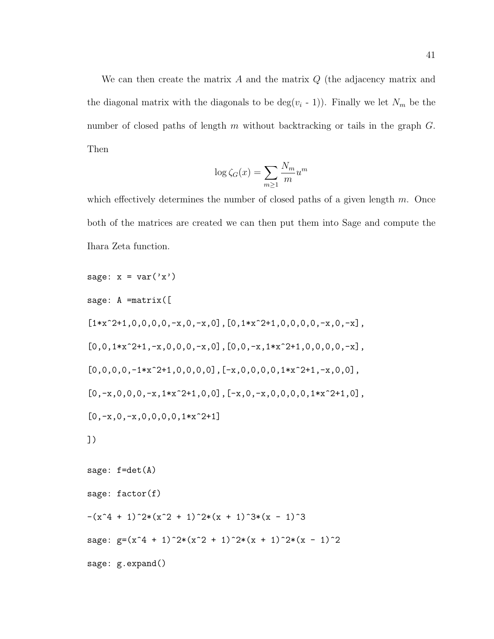We can then create the matrix  $A$  and the matrix  $Q$  (the adjacency matrix and the diagonal matrix with the diagonals to be  $deg(v_i - 1)$ . Finally we let  $N_m$  be the number of closed paths of length m without backtracking or tails in the graph  $G$ . Then

$$
\log \zeta_G(x) = \sum_{m \ge 1} \frac{N_m}{m} u^m
$$

which effectively determines the number of closed paths of a given length  $m$ . Once both of the matrices are created we can then put them into Sage and compute the Ihara Zeta function.

```
sage: x = var('x')sage: A =matrix([
[1*x^2+1,0,0,0,0,-x,0,-x,0],[0,1*x^2+1,0,0,0,0,-x,0,-x],
[0,0,1*x^2+1,-x,0,0,0,-x,0],[0,0,-x,1*x^2+1,0,0,0,0,-x],
[0,0,0,0,-1*x^2+1,0,0,0,0],[-x,0,0,0,0,1*x^2+1,-x,0,0],
[0,-x,0,0,0,-x,1*x^2+1,0,0], [-x,0,-x,0,0,0,0,1*x^2+1,0],
[0,-x,0,-x,0,0,0,0,1*x^2+1]])
sage: f=det(A)
sage: factor(f)
-(x^4 + 1)^2+(x^2 + 1)^2+(x + 1)^3+(x + 1)^3sage: g=(x^4 + 1)^2+(x^2 + 1)^2+(x + 1)^2+(x - 1)^2sage: g.expand()
```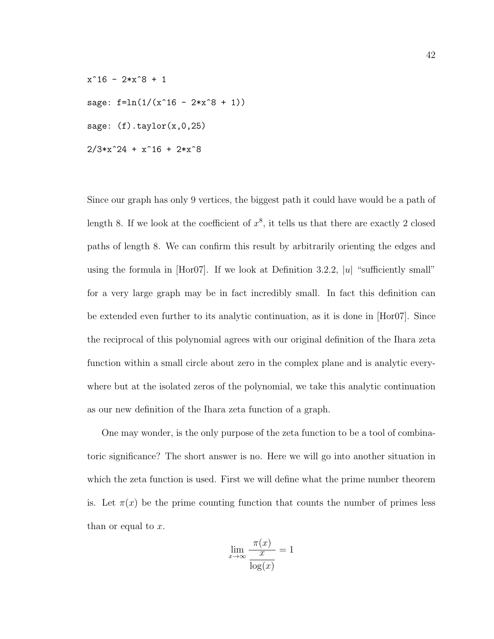$x^16 - 2*x^8 + 1$ sage:  $f=ln(1/(x^16 - 2*x^8 + 1))$ sage:  $(f).taylor(x,0,25)$  $2/3*x^24 + x^16 + 2*x^8$ 

Since our graph has only 9 vertices, the biggest path it could have would be a path of length 8. If we look at the coefficient of  $x^8$ , it tells us that there are exactly 2 closed paths of length 8. We can confirm this result by arbitrarily orienting the edges and using the formula in  $[Hor07]$ . If we look at Definition 3.2.2, |u| "sufficiently small" for a very large graph may be in fact incredibly small. In fact this definition can be extended even further to its analytic continuation, as it is done in [Hor07]. Since the reciprocal of this polynomial agrees with our original definition of the Ihara zeta function within a small circle about zero in the complex plane and is analytic everywhere but at the isolated zeros of the polynomial, we take this analytic continuation as our new definition of the Ihara zeta function of a graph.

One may wonder, is the only purpose of the zeta function to be a tool of combinatoric significance? The short answer is no. Here we will go into another situation in which the zeta function is used. First we will define what the prime number theorem is. Let  $\pi(x)$  be the prime counting function that counts the number of primes less than or equal to  $x$ .

$$
\lim_{x \to \infty} \frac{\pi(x)}{\frac{x}{\log(x)}} = 1
$$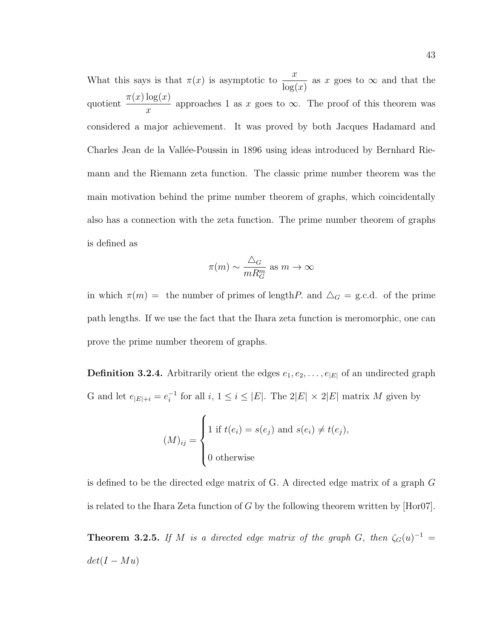What this says is that  $\pi(x)$  is asymptotic to  $\frac{x}{1-x^2}$  $log(x)$ as x goes to  $\infty$  and that the quotient  $\pi(x) \log(x)$  $\overline{x}$ approaches 1 as x goes to  $\infty$ . The proof of this theorem was considered a major achievement. It was proved by both Jacques Hadamard and Charles Jean de la Vallée-Poussin in 1896 using ideas introduced by Bernhard Riemann and the Riemann zeta function. The classic prime number theorem was the main motivation behind the prime number theorem of graphs, which coincidentally also has a connection with the zeta function. The prime number theorem of graphs is defined as

$$
\pi(m) \sim \frac{\triangle_G}{mR_G^m}
$$
 as  $m \to \infty$ 

in which  $\pi(m) =$  the number of primes of length P. and  $\Delta_G =$  g.c.d. of the prime path lengths. If we use the fact that the Ihara zeta function is meromorphic, one can prove the prime number theorem of graphs.

**Definition 3.2.4.** Arbitrarily orient the edges  $e_1, e_2, \ldots, e_{|E|}$  of an undirected graph G and let  $e_{|E|+i} = e_i^{-1}$  $i_i^{-1}$  for all  $i, 1 \leq i \leq |E|$ . The  $2|E| \times 2|E|$  matrix M given by

$$
(M)_{ij} = \begin{cases} 1 \text{ if } t(e_i) = s(e_j) \text{ and } s(e_i) \neq t(e_j), \\ 0 \text{ otherwise} \end{cases}
$$

is defined to be the directed edge matrix of G. A directed edge matrix of a graph G is related to the Ihara Zeta function of G by the following theorem written by [Hor07].

**Theorem 3.2.5.** If M is a directed edge matrix of the graph G, then  $\zeta_G(u)^{-1} =$  $det(I - Mu)$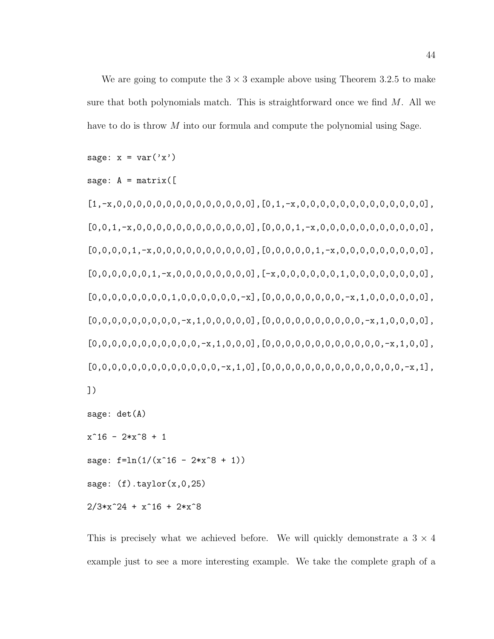We are going to compute the  $3 \times 3$  example above using Theorem 3.2.5 to make sure that both polynomials match. This is straightforward once we find  $M$ . All we have to do is throw M into our formula and compute the polynomial using Sage.

sage:  $x = var('x')$ 

```
sage: A = matrix([
```
 $[1,-x,0,0,0,0,0,0,0,0,0,0,0,0,0,0,0],$  $[0,1,-x,0,0,0,0,0,0,0,0,0,0,0,0,0,0]$ ,  $[0,0,1,-x,0,0,0,0,0,0,0,0,0,0,0,0]$ , $[0,0,0,1,-x,0,0,0,0,0,0,0,0,0,0,0]$ ,  $[0,0,0,0,1,-x,0,0,0,0,0,0,0,0,0,0],[0,0,0,0,1,-x,0,0,0,0,0,0,0,0,0],$  $[0,0,0,0,0,0,1,-x,0,0,0,0,0,0,0,0]$ ,  $[-x,0,0,0,0,0,0,1,0,0,0,0,0,0,0,0,0]$ ,  $[0,0,0,0,0,0,0,0,1,0,0,0,0,0,0,-x]$ , $[0,0,0,0,0,0,0,0,-x,1,0,0,0,0,0,0]$ ,  $[0,0,0,0,0,0,0,0,0,-x,1,0,0,0,0,0],[0,0,0,0,0,0,0,0,0,0,-x,1,0,0,0,0],$  $[0,0,0,0,0,0,0,0,0,0,0,-x,1,0,0,0],[0,0,0,0,0,0,0,0,0,0,0,0,-x,1,0,0],$  $[0,0,0,0,0,0,0,0,0,0,0,0,0,0,-x,1,0]$ , $[0,0,0,0,0,0,0,0,0,0,0,0,0,0,0,-x,1]$ , ])

```
sage: det(A)
x^16 - 2*x^8 + 1
```
sage:  $f=ln(1/(x^16 - 2*x^8 + 1))$ 

sage:  $(f) . taylor(x, 0, 25)$ 

```
2/3*x^24 + x^16 + 2*x^8
```
This is precisely what we achieved before. We will quickly demonstrate a  $3 \times 4$ example just to see a more interesting example. We take the complete graph of a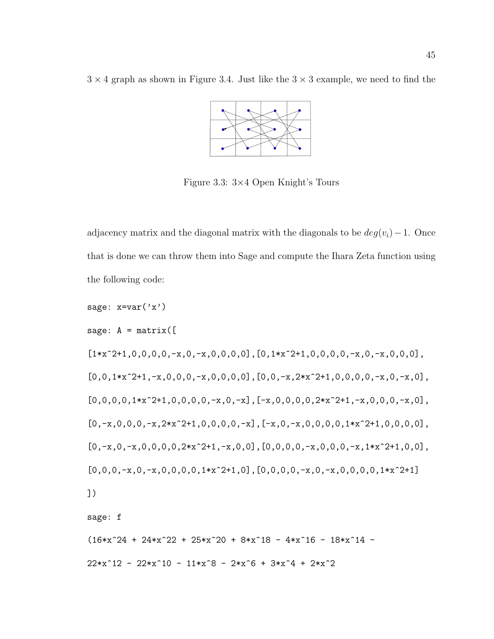$3 \times 4$  graph as shown in Figure 3.4. Just like the  $3 \times 3$  example, we need to find the



Figure 3.3: 3×4 Open Knight's Tours

adjacency matrix and the diagonal matrix with the diagonals to be  $deg(v_i) - 1$ . Once that is done we can throw them into Sage and compute the Ihara Zeta function using the following code:

sage: 
$$
x=var('x')
$$
  
\nsage:  $A = matrix([$   
\n $[1*x^2+1,0,0,0,0,-x,0,-x,0,0,0,0],[0,1*x^2+1,0,0,0,0,-x,0,-x,0,0,0],$   
\n $[0,0,1*x^2+1,-x,0,0,0,-x,0,0,0,0],[0,0,-x,2*x^2+1,0,0,0,0,-x,0,-x,0],$   
\n $[0,0,0,0,1*x^2+1,0,0,0,0,-x,0,-x], [-x,0,0,0,0,2*x^2+1,-x,0,0,0,0,-x,0],$   
\n $[0,-x,0,0,0,-x,2*x^2+1,0,0,0,0,-x], [-x,0,-x,0,0,0,0,1*x^2+1,0,0,0,0],$   
\n $[0,-x,0,-x,0,0,0,0,2*x^2+1,-x,0,0],[0,0,0,0,-x,0,0,0,-x,1*x^2+1,0,0],$   
\n $[0,0,0,-x,0,-x,0,0,0,0,1*x^2+1,0],[0,0,0,0,-x,0,-x,0,0,0,0,1*x^2+1]$   
\n])  
\nsage: f  
\n $(16*x^24 + 24*x^2 + 25*x^2 - 25*x^2 - 8*x^1 - 4*x^1 - 25*x^2 - 45*x^2 - 45*x^2 - 45*x^2 - 45*x^2 - 45*x^2 - 45*x^2 - 45*x^2 - 45*x^2 - 45*x^2 - 45*x^2 - 45*x^2 - 45*x^2 - 45*x^2 - 45*x^2 - 45*x^2 - 45*x^2 - 45*x^2 - 45*x^2 - 45*x^2 - 45*x^2 - 45*x^2 - 45*x^2 - 45*x^2 - 45*x^2 - 45*x^2 - 45*x^2 - 45*x^2 - 45*x^2 - 45*x^2 - 45*x^2 - 45*x^2 - 45*x^2 - 45k^2 - 45k^2 - 45k^2 - 45k^2 - 45k^2 - 45k^2 - 45$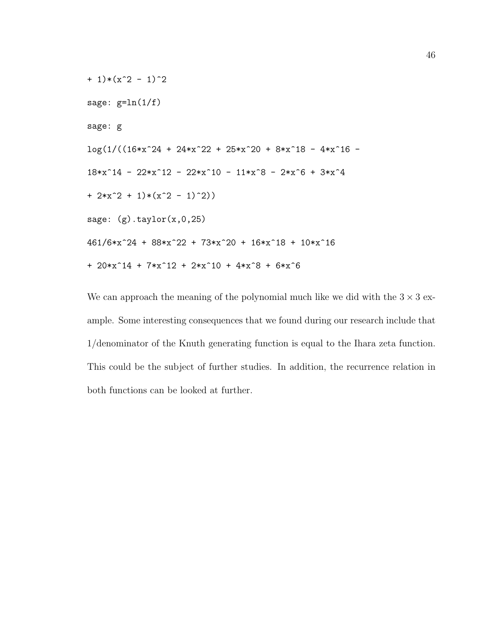```
+ 1)*(x^2 - 1)^2sage: g=ln(1/f)sage: g
\log(1/((16*x^24 + 24*x^22 + 25*x^20 + 8*x^18 - 4*x^16 -18*x^14 - 22*x^12 - 22*x^10 - 11*x^8 - 2*x^6 + 3*x^4+ 2*x^2 + 1)*(x^2 - 1)^2)sage: (g) .taylor(x, 0, 25)461/6*x^24 + 88*x^22 + 73*x^20 + 16*x^18 + 10*x^16
+ 20*x^14 + 7*x^12 + 2*x^10 + 4*x^8 + 6*x^6
```
We can approach the meaning of the polynomial much like we did with the  $3 \times 3$  example. Some interesting consequences that we found during our research include that 1/denominator of the Knuth generating function is equal to the Ihara zeta function. This could be the subject of further studies. In addition, the recurrence relation in both functions can be looked at further.